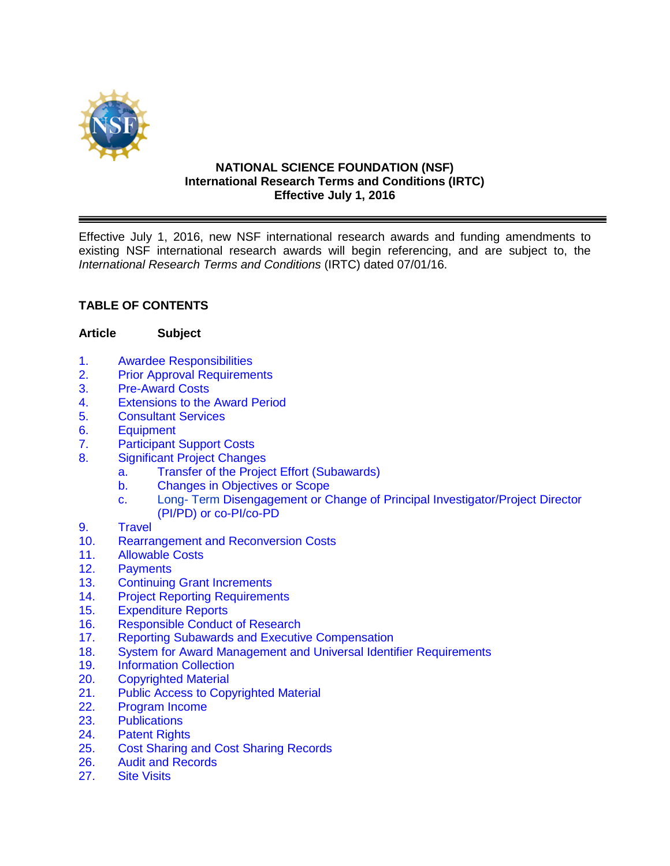

#### **NATIONAL SCIENCE FOUNDATION (NSF) International Research Terms and Conditions (IRTC) Effective July 1, 2016**

Effective July 1, 2016, new NSF international research awards and funding amendments to existing NSF international research awards will begin referencing, and are subject to, the *International Research Terms and Conditions* (IRTC) dated 07/01/16.

# **TABLE OF CONTENTS**

#### **Article Subject**

- 1. [Awardee Responsibilities](#page-2-0)<br>2. Prior Approval Requireme
- **[Prior Approval Requirements](#page-3-0)**
- 3. [Pre-Award Costs](#page-4-0)
- 4. [Extensions to the Award Period](#page-4-0)
- 5. [Consultant Services](#page-5-0)
- 6. [Equipment](#page-5-0)
- 7. [Participant Support Costs](#page-5-0)
- 8. [Significant Project Changes](#page-6-0)
	- [a. Transfer of the Project Effort \(Subawards\)](#page-6-0)
	- [b. Changes](#page-6-0) in Objectives or Scope
	- c. Long- [Term Disengagement or Change of Principal Investigator/Project Director](#page-7-0)  (PI/PD) or co-PI/co-PD
- 9. [Travel](#page-7-0)
- 10. Rearrangement [and Reconversion Costs](#page-10-0)
- 11. [Allowable Costs](#page-10-0)
- 
- 12. [Payments](#page-11-0)<br>13. Continuino 13. [Continuing Grant](#page-11-0) Increments<br>14. Proiect Reporting Requirement
- **[Project Reporting](#page-11-0) Requirements**
- 15. [Expenditure Reports](#page-12-0)
- 16. [Responsible Conduct of Research](#page-13-0)
- 17. [Reporting Subawards and Executive Compensation](#page-13-0)
- 18. [System for Award Management and Universal Identifier](#page-16-0) Requirements
- 19. [Information Collection](#page-18-0)<br>20. Copyrighted Material
- **[Copyrighted](#page-18-0) Material**
- 21. [Public Access to Copyrighted Material](#page-19-0)
- 22. [Program Income](#page-19-0)
- 23. [Publications](#page-21-0)
- 24. [Patent Rights](#page-22-0)
- 25. Cost [Sharing and Cost](#page-22-0) Sharing Records
- 26. [Audit and Records](#page-23-0)<br>27. Site Visits
- **[Site Visits](#page-24-0)**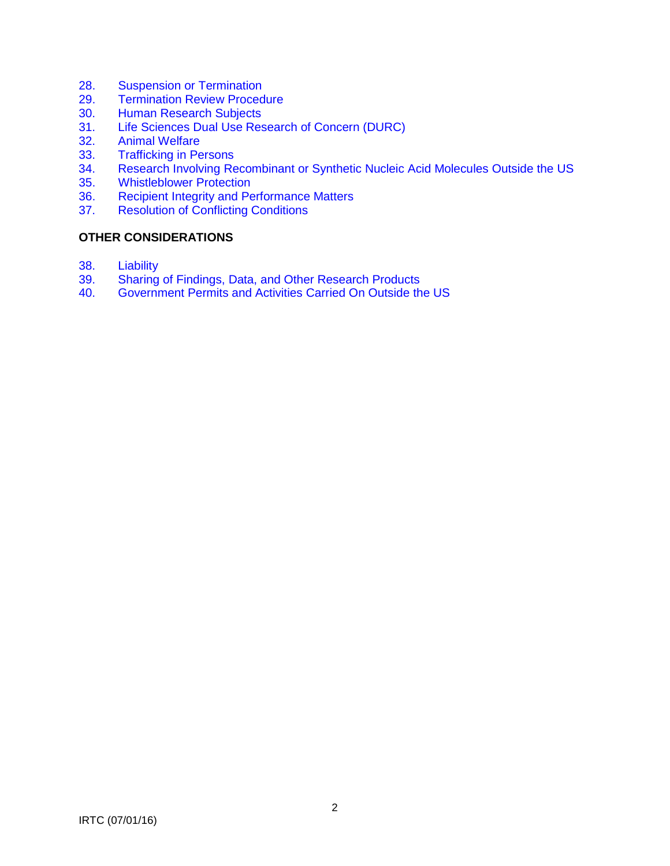- 28. [Suspension or Termination](#page-24-0)<br>29. Termination Review Proced
- **[Termination Review Procedure](#page-25-0)**
- 30. [Human Research Subjects](#page-25-0)<br>31. Life Sciences Dual Use Res
- 31. [Life Sciences Dual Use Research of Concern \(DURC\)](#page-25-0)<br>32. Animal Welfare
- 32. [Animal Welfare](#page-26-0)<br>33. Trafficking in Pe
- 33. [Trafficking in Persons](#page-26-0)<br>34. Research Involving Re
- Research Involving Recombinant [or Synthetic Nucleic Acid Molecules Outside the US](#page-26-0)
- 35. [Whistleblower Protection](#page-26-0)<br>36. Recipient Integrity and Pe
- 36. [Recipient Integrity and Performance Matters](#page-26-0)<br>37. Resolution of Conflicting Conditions
- **[Resolution of Conflicting Conditions](#page-27-0)**

## **OTHER CONSIDERATIONS**

- 38. [Liability](#page-27-0)<br>39. Sharing
- [Sharing of Findings, Data, and Other Research Products](#page-27-0)
- 40. [Government Permits and Activities Carried On Outside the US](#page-27-0)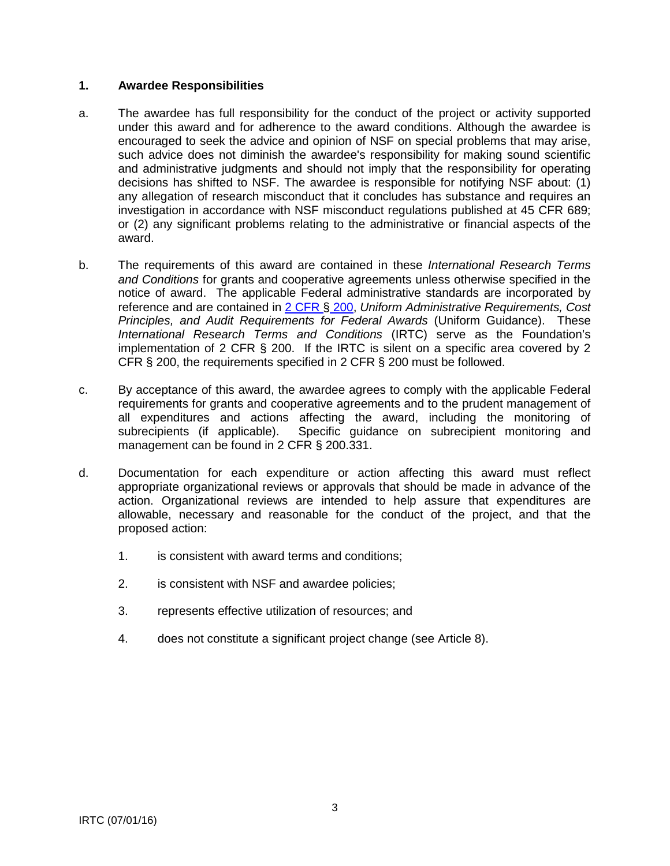#### <span id="page-2-0"></span>**1. Awardee Responsibilities**

- a. The awardee has full responsibility for the conduct of the project or activity supported under this award and for adherence to the award conditions. Although the awardee is encouraged to seek the advice and opinion of NSF on special problems that may arise, such advice does not diminish the awardee's responsibility for making sound scientific and administrative judgments and should not imply that the responsibility for operating decisions has shifted to NSF. The awardee is responsible for notifying NSF about: (1) any allegation of research misconduct that it concludes has substance and requires an investigation in accordance with NSF misconduct regulations published at 45 CFR 689; or (2) any significant problems relating to the administrative or financial aspects of the award.
- b. The requirements of this award are contained in these *International Research Terms and Conditions* for grants and cooperative agreements unless otherwise specified in the notice of award. The applicable Federal administrative standards are incorporated by reference and are contained in [2 CFR §](http://www.ecfr.gov/cgi-bin/text-idx?SID=704835d27377ef5213a51c149de40cab&node=2:1.1.2.2.1&rgn=div5) 200, *Uniform Administrative Requirements, Cost Principles, and Audit Requirements for Federal Awards* (Uniform Guidance). These *International Research Terms and Conditions* (IRTC) serve as the Foundation's implementation of 2 CFR  $\S$  200. If the IRTC is silent on a specific area covered by 2 CFR § 200, the requirements specified in 2 CFR § 200 must be followed.
- c. By acceptance of this award, the awardee agrees to comply with the applicable Federal requirements for grants and cooperative agreements and to the prudent management of all expenditures and actions affecting the award, including the monitoring of subrecipients (if applicable). Specific guidance on subrecipient monitoring and management can be found in 2 CFR § 200.331.
- d. Documentation for each expenditure or action affecting this award must reflect appropriate organizational reviews or approvals that should be made in advance of the action. Organizational reviews are intended to help assure that expenditures are allowable, necessary and reasonable for the conduct of the project, and that the proposed action:
	- 1. is consistent with award terms and conditions;
	- 2. is consistent with NSF and awardee policies;
	- 3. represents effective utilization of resources; and
	- 4. does not constitute a significant project change (see Article 8).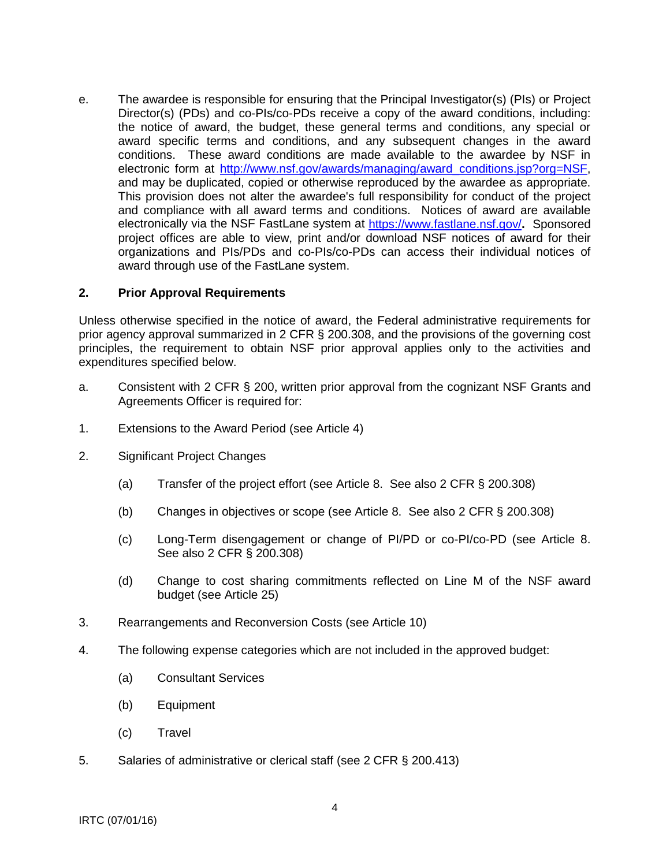<span id="page-3-0"></span>e. The awardee is responsible for ensuring that the Principal Investigator(s) (PIs) or Project Director(s) (PDs) and co-PIs/co-PDs receive a copy of the award conditions, including: the notice of award, the budget, these general terms and conditions, any special or award specific terms and conditions, and any subsequent changes in the award conditions. These award conditions are made available to the awardee by NSF in electronic form at http://www.nsf.gov/awards/managing/award\_conditions.jsp?org=NSF, and may be duplicated, copied or otherwise reproduced by the awardee as appropriate. This provision does not alter the awardee's full responsibility for conduct of the project and compliance with all award terms and conditions. Notices of award are available electronically via the NSF FastLane system at<https://www.fastlane.nsf.gov/>**.** Sponsored project offices are able to view, print and/or download NSF notices of award for their organizations and PIs/PDs and co-PIs/co-PDs can access their individual notices of award through use of the FastLane system.

#### **2. Prior Approval Requirements**

Unless otherwise specified in the notice of award, the Federal administrative requirements for prior agency approval summarized in 2 CFR § 200.308, and the provisions of the governing cost principles, the requirement to obtain NSF prior approval applies only to the activities and expenditures specified below.

- a. Consistent with 2 CFR § 200, written prior approval from the cognizant NSF Grants and Agreements Officer is required for:
- 1. Extensions to the Award Period (see Article 4)
- 2. Significant Project Changes
	- (a) Transfer of the project effort (see Article 8. See also 2 CFR § 200.308)
	- (b) Changes in objectives or scope (see Article 8. See also 2 CFR § 200.308)
	- (c) Long-Term disengagement or change of PI/PD or co-PI/co-PD (see Article 8. See also 2 CFR § 200.308)
	- (d) Change to cost sharing commitments reflected on Line M of the NSF award budget (see Article 25)
- 3. Rearrangements and Reconversion Costs (see Article 10)
- 4. The following expense categories which are not included in the approved budget:
	- (a) Consultant Services
	- (b) Equipment
	- (c) Travel
- 5. Salaries of administrative or clerical staff (see 2 CFR § 200.413)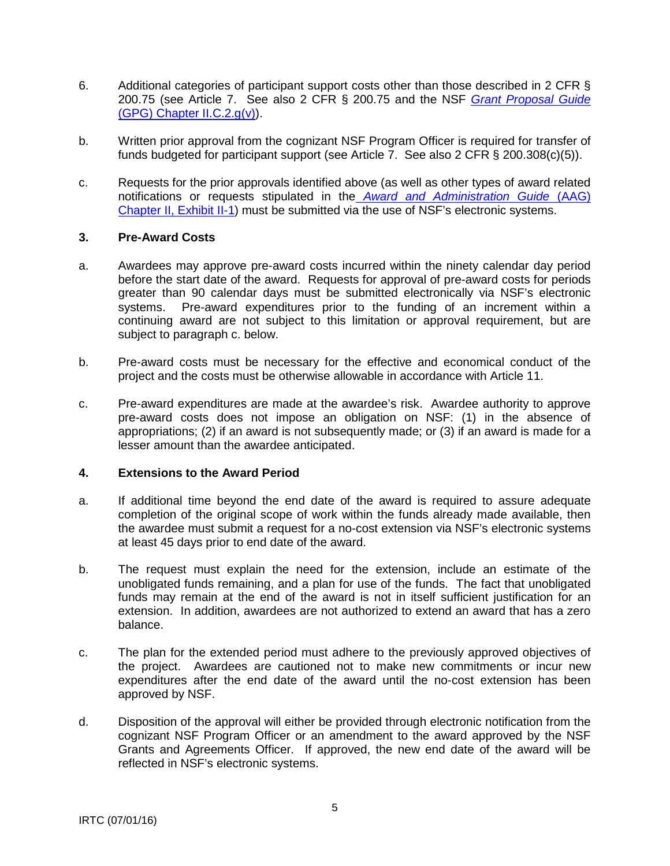- <span id="page-4-0"></span>6. Additional categories of participant support costs other than those described in 2 CFR § 200.75 (see Article 7. See also 2 CFR § 200.75 and the NSF *[Grant Proposal Guide](http://www.nsf.gov/pubs/policydocs/pappguide/nsf16001/gpg_2.jsp#IIC2gv)* [\(GPG\) Chapter II.C.2.g\(v\)\)](http://www.nsf.gov/pubs/policydocs/pappguide/nsf16001/gpg_2.jsp#IIC2gv).
- b. Written prior approval from the cognizant NSF Program Officer is required for transfer of funds budgeted for participant support (see Article 7. See also 2 CFR § 200.308(c)(5)).
- c. Requests for the prior approvals identified above (as well as other types of award related notifications or requests stipulated in the *[Award and Administration Guide](http://www.nsf.gov/pubs/policydocs/pappguide/nsf16001/aag_2ex1.pdf)* (AAG) [Chapter II, Exhibit II-1\)](http://www.nsf.gov/pubs/policydocs/pappguide/nsf16001/aag_2ex1.pdf) must be submitted via the use of NSF's electronic systems.

#### **3. Pre-Award Costs**

- a. Awardees may approve pre-award costs incurred within the ninety calendar day period before the start date of the award. Requests for approval of pre-award costs for periods greater than 90 calendar days must be submitted electronically via NSF's electronic<br>systems. Pre-award expenditures prior to the funding of an increment within a Pre-award expenditures prior to the funding of an increment within a continuing award are not subject to this limitation or approval requirement, but are subject to paragraph c. below.
- b. Pre-award costs must be necessary for the effective and economical conduct of the project and the costs must be otherwise allowable in accordance with Article 11.
- c. Pre-award expenditures are made at the awardee's risk. Awardee authority to approve pre-award costs does not impose an obligation on NSF: (1) in the absence of appropriations; (2) if an award is not subsequently made; or (3) if an award is made for a lesser amount than the awardee anticipated.

#### **4. Extensions to the Award Period**

- a. If additional time beyond the end date of the award is required to assure adequate completion of the original scope of work within the funds already made available, then the awardee must submit a request for a no-cost extension via NSF's electronic systems at least 45 days prior to end date of the award.
- b. The request must explain the need for the extension, include an estimate of the unobligated funds remaining, and a plan for use of the funds. The fact that unobligated funds may remain at the end of the award is not in itself sufficient justification for an extension. In addition, awardees are not authorized to extend an award that has a zero balance.
- c. The plan for the extended period must adhere to the previously approved objectives of the project. Awardees are cautioned not to make new commitments or incur new expenditures after the end date of the award until the no-cost extension has been approved by NSF.
- d. Disposition of the approval will either be provided through electronic notification from the cognizant NSF Program Officer or an amendment to the award approved by the NSF Grants and Agreements Officer. If approved, the new end date of the award will be reflected in NSF's electronic systems.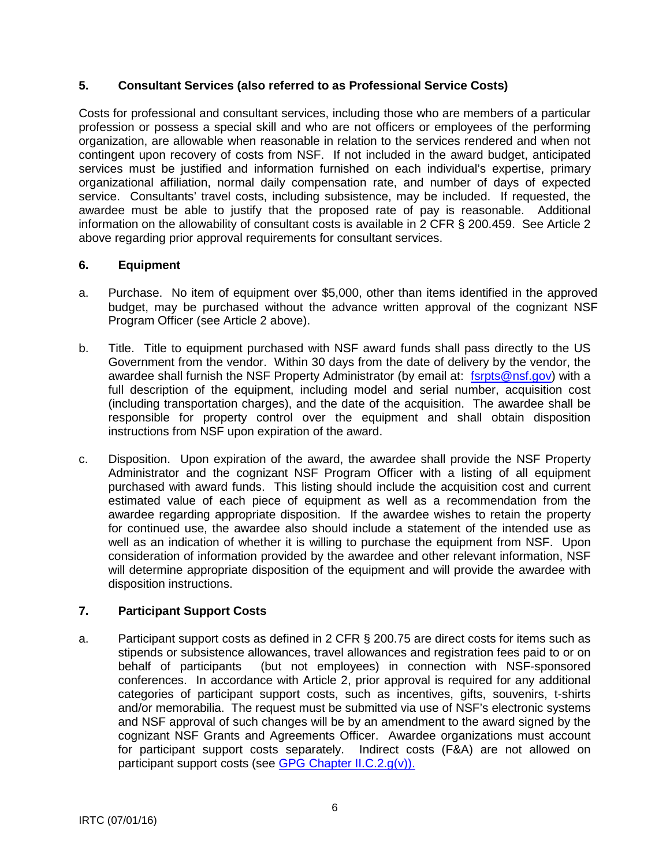# <span id="page-5-0"></span>**5. Consultant Services (also referred to as Professional Service Costs)**

Costs for professional and consultant services, including those who are members of a particular profession or possess a special skill and who are not officers or employees of the performing organization, are allowable when reasonable in relation to the services rendered and when not contingent upon recovery of costs from NSF. If not included in the award budget, anticipated services must be justified and information furnished on each individual's expertise, primary organizational affiliation, normal daily compensation rate, and number of days of expected service. Consultants' travel costs, including subsistence, may be included. If requested, the awardee must be able to justify that the proposed rate of pay is reasonable. Additional information on the allowability of consultant costs is available in 2 CFR § 200.459. See Article 2 above regarding prior approval requirements for consultant services.

## **6. Equipment**

- a. Purchase. No item of equipment over \$5,000, other than items identified in the approved budget, may be purchased without the advance written approval of the cognizant NSF Program Officer (see Article 2 above).
- b. Title. Title to equipment purchased with NSF award funds shall pass directly to the US Government from the vendor. Within 30 days from the date of delivery by the vendor, the awardee shall furnish the NSF Property Administrator (by email at: [fsrpts@nsf.gov\)](mailto:fsrpts@nsf.gov) with a full description of the equipment, including model and serial number, acquisition cost (including transportation charges), and the date of the acquisition. The awardee shall be responsible for property control over the equipment and shall obtain disposition instructions from NSF upon expiration of the award.
- c. Disposition. Upon expiration of the award, the awardee shall provide the NSF Property Administrator and the cognizant NSF Program Officer with a listing of all equipment purchased with award funds. This listing should include the acquisition cost and current estimated value of each piece of equipment as well as a recommendation from the awardee regarding appropriate disposition. If the awardee wishes to retain the property for continued use, the awardee also should include a statement of the intended use as well as an indication of whether it is willing to purchase the equipment from NSF. Upon consideration of information provided by the awardee and other relevant information, NSF will determine appropriate disposition of the equipment and will provide the awardee with disposition instructions.

# **7. Participant Support Costs**

a. Participant support costs as defined in 2 CFR § 200.75 are direct costs for items such as stipends or subsistence allowances, travel allowances and registration fees paid to or on behalf of participants (but not employees) in connection with NSF-sponsored conferences. In accordance with Article 2, prior approval is required for any additional categories of participant support costs, such as incentives, gifts, souvenirs, t-shirts and/or memorabilia. The request must be submitted via use of NSF's electronic systems and NSF approval of such changes will be by an amendment to the award signed by the cognizant NSF Grants and Agreements Officer. Awardee organizations must account for participant support costs separately. Indirect costs (F&A) are not allowed on participant support costs (see [GPG Chapter II.C.2.g\(v\)\).](http://www.nsf.gov/pubs/policydocs/pappguide/nsf16001/gpg_2.jsp#IIC2gv)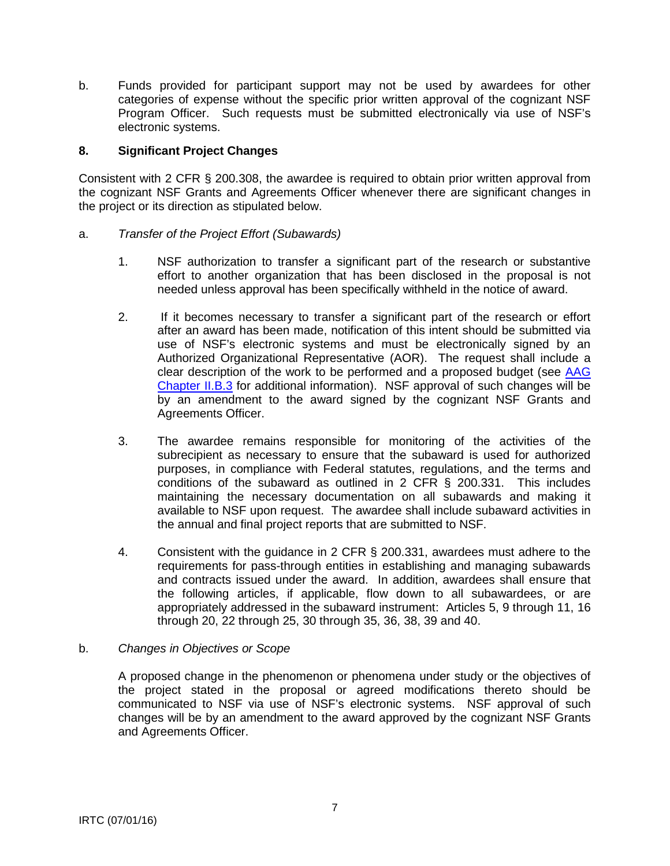<span id="page-6-0"></span>b. Funds provided for participant support may not be used by awardees for other categories of expense without the specific prior written approval of the cognizant NSF Program Officer. Such requests must be submitted electronically via use of NSF's electronic systems.

#### **8. Significant Project Changes**

Consistent with 2 CFR § 200.308, the awardee is required to obtain prior written approval from the cognizant NSF Grants and Agreements Officer whenever there are significant changes in the project or its direction as stipulated below.

#### a. *Transfer of the Project Effort (Subawards)*

- 1. NSF authorization to transfer a significant part of the research or substantive effort to another organization that has been disclosed in the proposal is not needed unless approval has been specifically withheld in the notice of award.
- 2. If it becomes necessary to transfer a significant part of the research or effort after an award has been made, notification of this intent should be submitted via use of NSF's electronic systems and must be electronically signed by an Authorized Organizational Representative (AOR). The request shall include a clear description of the work to be performed and a proposed budget (see [AAG](http://www.nsf.gov/pubs/policydocs/pappguide/nsf16001/aag_2.jsp#IIB3)  [Chapter II.B.3](http://www.nsf.gov/pubs/policydocs/pappguide/nsf16001/aag_2.jsp#IIB3) for additional information). NSF approval of such changes will be by an amendment to the award signed by the cognizant NSF Grants and Agreements Officer.
- 3. The awardee remains responsible for monitoring of the activities of the subrecipient as necessary to ensure that the subaward is used for authorized purposes, in compliance with Federal statutes, regulations, and the terms and conditions of the subaward as outlined in 2 CFR § 200.331. This includes maintaining the necessary documentation on all subawards and making it available to NSF upon request. The awardee shall include subaward activities in the annual and final project reports that are submitted to NSF.
- 4. Consistent with the guidance in 2 CFR § 200.331, awardees must adhere to the requirements for pass-through entities in establishing and managing subawards and contracts issued under the award. In addition, awardees shall ensure that the following articles, if applicable, flow down to all subawardees, or are appropriately addressed in the subaward instrument: Articles 5, 9 through 11, 16 through 20, 22 through 25, 30 through 35, 36, 38, 39 and 40.

#### b. *Changes in Objectives or Scope*

A proposed change in the phenomenon or phenomena under study or the objectives of the project stated in the proposal or agreed modifications thereto should be communicated to NSF via use of NSF's electronic systems. NSF approval of such changes will be by an amendment to the award approved by the cognizant NSF Grants and Agreements Officer.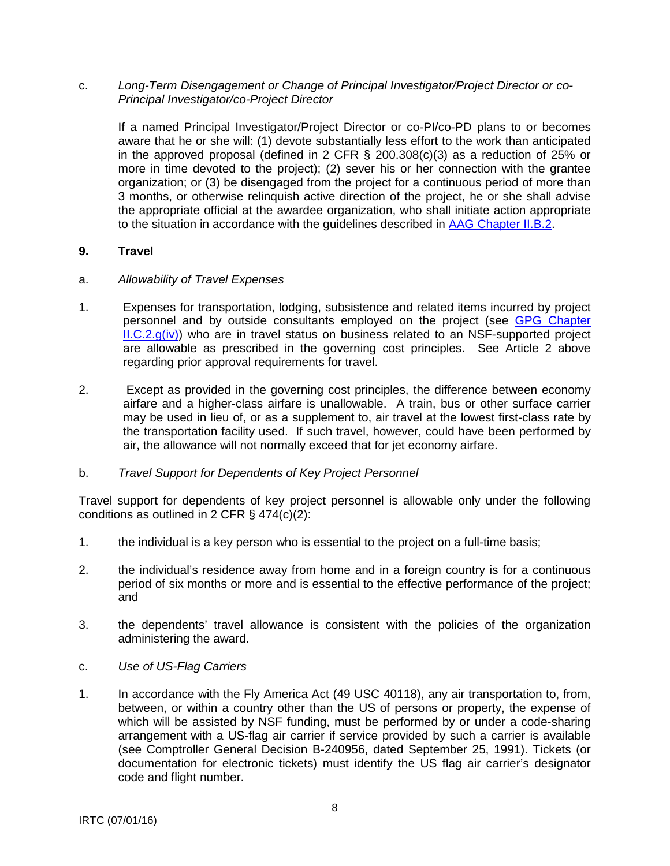<span id="page-7-0"></span>c. *Long-Term Disengagement or Change of Principal Investigator/Project Director or co-Principal Investigator/co-Project Director*

If a named Principal Investigator/Project Director or co-PI/co-PD plans to or becomes aware that he or she will: (1) devote substantially less effort to the work than anticipated in the approved proposal (defined in 2 CFR § 200.308(c)(3) as a reduction of 25% or more in time devoted to the project); (2) sever his or her connection with the grantee organization; or (3) be disengaged from the project for a continuous period of more than 3 months, or otherwise relinquish active direction of the project, he or she shall advise the appropriate official at the awardee organization, who shall initiate action appropriate to the situation in accordance with the guidelines described in [AAG Chapter II.B.2.](http://www.nsf.gov/pubs/policydocs/pappguide/nsf16001/aag_2.jsp#IIB2)

## **9. Travel**

- a. *Allowability of Travel Expenses*
- 1. Expenses for transportation, lodging, subsistence and related items incurred by project personnel and by outside consultants employed on the project (see [GPG Chapter](http://www.nsf.gov/pubs/policydocs/pappguide/nsf16001/gpg_2.jsp#IIC2giv)   $ILC.2.g(iv)$  who are in travel status on business related to an NSF-supported project are allowable as prescribed in the governing cost principles. See Article 2 above regarding prior approval requirements for travel.
- 2. Except as provided in the governing cost principles, the difference between economy airfare and a higher-class airfare is unallowable. A train, bus or other surface carrier may be used in lieu of, or as a supplement to, air travel at the lowest first-class rate by the transportation facility used. If such travel, however, could have been performed by air, the allowance will not normally exceed that for jet economy airfare.

#### b. *Travel Support for Dependents of Key Project Personnel*

Travel support for dependents of key project personnel is allowable only under the following conditions as outlined in 2 CFR § 474(c)(2):

- 1. the individual is a key person who is essential to the project on a full-time basis;
- 2. the individual's residence away from home and in a foreign country is for a continuous period of six months or more and is essential to the effective performance of the project; and
- 3. the dependents' travel allowance is consistent with the policies of the organization administering the award.
- c. *Use of US-Flag Carriers*
- 1. In accordance with the Fly America Act (49 USC 40118), any air transportation to, from, between, or within a country other than the US of persons or property, the expense of which will be assisted by NSF funding, must be performed by or under a code-sharing arrangement with a US-flag air carrier if service provided by such a carrier is available (see Comptroller General Decision B-240956, dated September 25, 1991). Tickets (or documentation for electronic tickets) must identify the US flag air carrier's designator code and flight number.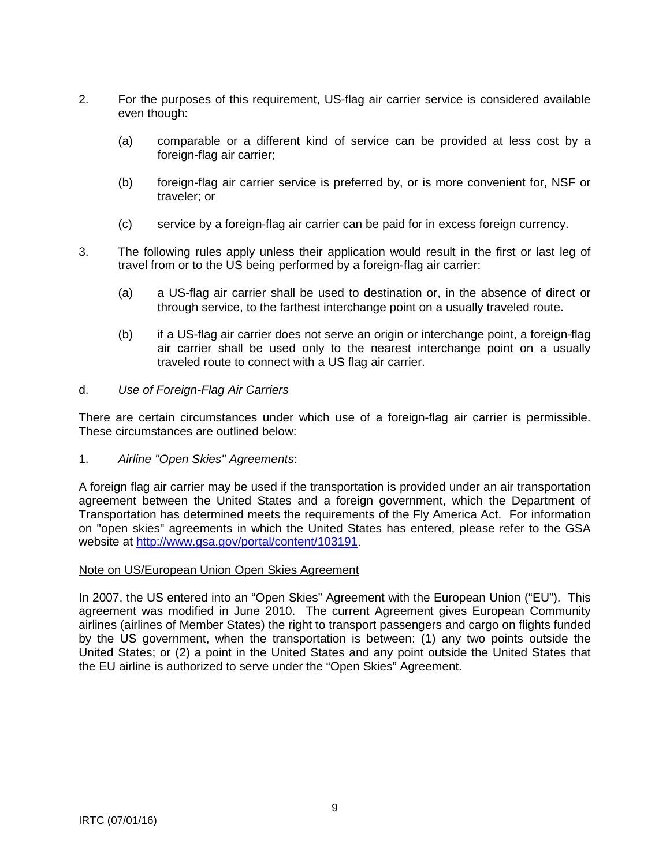- 2. For the purposes of this requirement, US-flag air carrier service is considered available even though:
	- (a) comparable or a different kind of service can be provided at less cost by a foreign-flag air carrier;
	- (b) foreign-flag air carrier service is preferred by, or is more convenient for, NSF or traveler; or
	- (c) service by a foreign-flag air carrier can be paid for in excess foreign currency.
- 3. The following rules apply unless their application would result in the first or last leg of travel from or to the US being performed by a foreign-flag air carrier:
	- (a) a US-flag air carrier shall be used to destination or, in the absence of direct or through service, to the farthest interchange point on a usually traveled route.
	- (b) if a US-flag air carrier does not serve an origin or interchange point, a foreign-flag air carrier shall be used only to the nearest interchange point on a usually traveled route to connect with a US flag air carrier.

#### d. *Use of Foreign-Flag Air Carriers*

There are certain circumstances under which use of a foreign-flag air carrier is permissible. These circumstances are outlined below:

1. *Airline "Open Skies" Agreements*:

A foreign flag air carrier may be used if the transportation is provided under an air transportation agreement between the United States and a foreign government, which the Department of Transportation has determined meets the requirements of the Fly America Act. For information on "open skies" agreements in which the United States has entered, please refer to the GSA website at [http://www.gsa.gov/portal/content/103191.](http://www.gsa.gov/portal/content/103191)

#### Note on US/European Union Open Skies Agreement

In 2007, the US entered into an "Open Skies" Agreement with the European Union ("EU"). This agreement was modified in June 2010. The current Agreement gives European Community airlines (airlines of Member States) the right to transport passengers and cargo on flights funded by the US government, when the transportation is between: (1) any two points outside the United States; or (2) a point in the United States and any point outside the United States that the EU airline is authorized to serve under the "Open Skies" Agreement.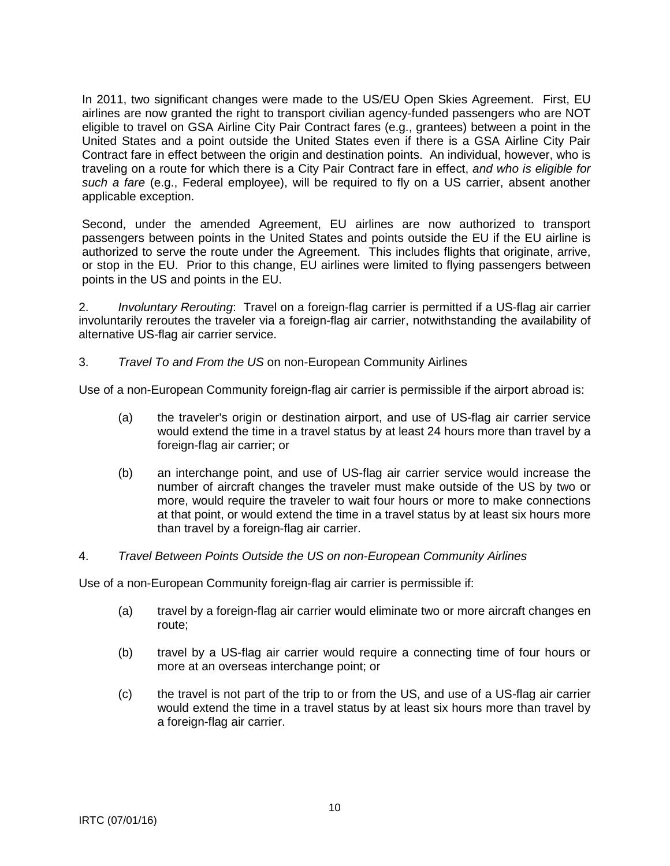In 2011, two significant changes were made to the US/EU Open Skies Agreement. First, EU airlines are now granted the right to transport civilian agency-funded passengers who are NOT eligible to travel on GSA Airline City Pair Contract fares (e.g., grantees) between a point in the United States and a point outside the United States even if there is a GSA Airline City Pair Contract fare in effect between the origin and destination points. An individual, however, who is traveling on a route for which there is a City Pair Contract fare in effect, *and who is eligible for such a fare* (e.g., Federal employee), will be required to fly on a US carrier, absent another applicable exception.

Second, under the amended Agreement, EU airlines are now authorized to transport passengers between points in the United States and points outside the EU if the EU airline is authorized to serve the route under the Agreement. This includes flights that originate, arrive, or stop in the EU. Prior to this change, EU airlines were limited to flying passengers between points in the US and points in the EU.

2. *Involuntary Rerouting*: Travel on a foreign-flag carrier is permitted if a US-flag air carrier involuntarily reroutes the traveler via a foreign-flag air carrier, notwithstanding the availability of alternative US-flag air carrier service.

3. *Travel To and From the US* on non-European Community Airlines

Use of a non-European Community foreign-flag air carrier is permissible if the airport abroad is:

- (a) the traveler's origin or destination airport, and use of US-flag air carrier service would extend the time in a travel status by at least 24 hours more than travel by a foreign-flag air carrier; or
- (b) an interchange point, and use of US-flag air carrier service would increase the number of aircraft changes the traveler must make outside of the US by two or more, would require the traveler to wait four hours or more to make connections at that point, or would extend the time in a travel status by at least six hours more than travel by a foreign-flag air carrier.
- 4. *Travel Between Points Outside the US on non-European Community Airlines*

Use of a non-European Community foreign-flag air carrier is permissible if:

- (a) travel by a foreign-flag air carrier would eliminate two or more aircraft changes en route;
- (b) travel by a US-flag air carrier would require a connecting time of four hours or more at an overseas interchange point; or
- (c) the travel is not part of the trip to or from the US, and use of a US-flag air carrier would extend the time in a travel status by at least six hours more than travel by a foreign-flag air carrier.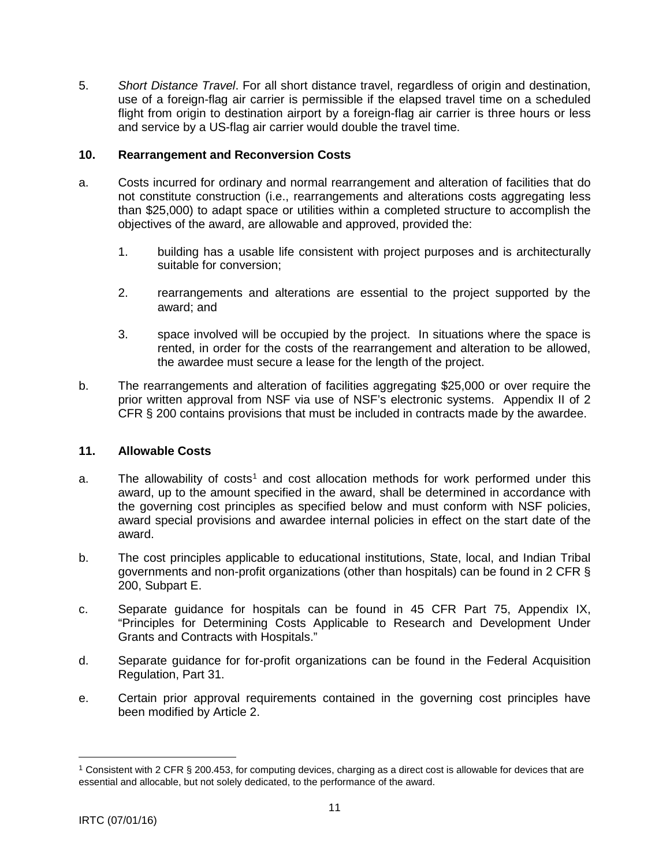<span id="page-10-0"></span>5. *Short Distance Travel*. For all short distance travel, regardless of origin and destination, use of a foreign-flag air carrier is permissible if the elapsed travel time on a scheduled flight from origin to destination airport by a foreign-flag air carrier is three hours or less and service by a US-flag air carrier would double the travel time.

#### **10. Rearrangement and Reconversion Costs**

- a. Costs incurred for ordinary and normal rearrangement and alteration of facilities that do not constitute construction (i.e., rearrangements and alterations costs aggregating less than \$25,000) to adapt space or utilities within a completed structure to accomplish the objectives of the award, are allowable and approved, provided the:
	- 1. building has a usable life consistent with project purposes and is architecturally suitable for conversion;
	- 2. rearrangements and alterations are essential to the project supported by the award; and
	- 3. space involved will be occupied by the project. In situations where the space is rented, in order for the costs of the rearrangement and alteration to be allowed, the awardee must secure a lease for the length of the project.
- b. The rearrangements and alteration of facilities aggregating \$25,000 or over require the prior written approval from NSF via use of NSF's electronic systems. Appendix II of 2 CFR § 200 contains provisions that must be included in contracts made by the awardee.

#### **11. Allowable Costs**

- a. The allowability of costs<sup>[1](#page-10-1)</sup> and cost allocation methods for work performed under this award, up to the amount specified in the award, shall be determined in accordance with the governing cost principles as specified below and must conform with NSF policies, award special provisions and awardee internal policies in effect on the start date of the award.
- b. The cost principles applicable to educational institutions, State, local, and Indian Tribal governments and non-profit organizations (other than hospitals) can be found in 2 CFR § 200, Subpart E.
- c. Separate guidance for hospitals can be found in 45 CFR Part 75, Appendix IX, "Principles for Determining Costs Applicable to Research and Development Under Grants and Contracts with Hospitals."
- d. Separate guidance for for-profit organizations can be found in the Federal Acquisition Regulation, Part 31.
- e. Certain prior approval requirements contained in the governing cost principles have been modified by Article 2.

 $\overline{a}$ 

<span id="page-10-1"></span><sup>1</sup> Consistent with 2 CFR § 200.453, for computing devices, charging as a direct cost is allowable for devices that are essential and allocable, but not solely dedicated, to the performance of the award.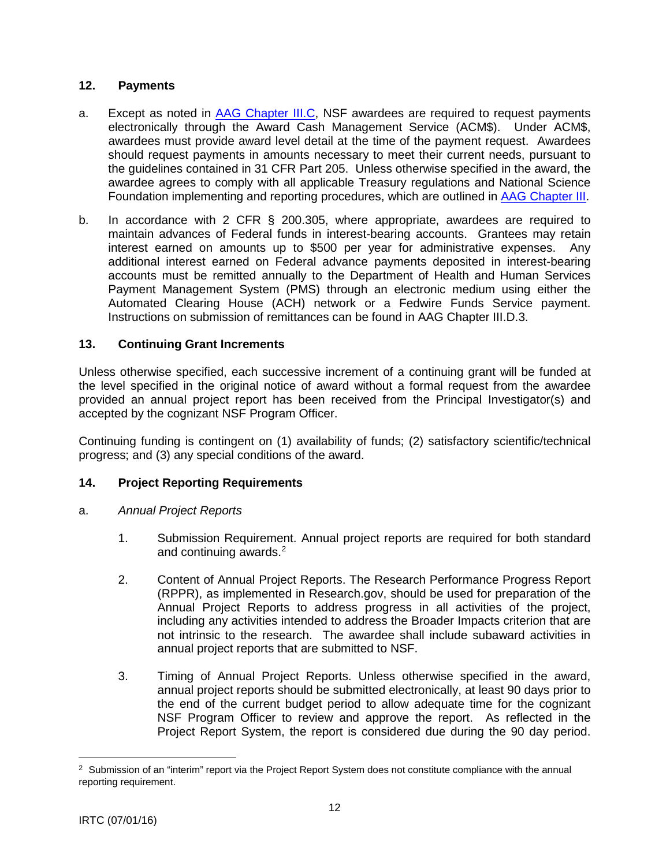# <span id="page-11-0"></span>**12. Payments**

- a. Except as noted in [AAG Chapter III.C,](http://www.nsf.gov/pubs/policydocs/pappguide/nsf16001/aag_3.jsp#IIIC) NSF awardees are required to request payments electronically through the Award Cash Management Service (ACM\$). Under ACM\$, awardees must provide award level detail at the time of the payment request. Awardees should request payments in amounts necessary to meet their current needs, pursuant to the guidelines contained in 31 CFR Part 205. Unless otherwise specified in the award, the awardee agrees to comply with all applicable Treasury regulations and National Science Foundation implementing and reporting procedures, which are outlined in [AAG Chapter III.](http://www.nsf.gov/pubs/policydocs/pappguide/nsf16001/aag_3.jsp)
- b. In accordance with 2 CFR § 200.305, where appropriate, awardees are required to maintain advances of Federal funds in interest-bearing accounts. Grantees may retain interest earned on amounts up to \$500 per year for administrative expenses. Any additional interest earned on Federal advance payments deposited in interest-bearing accounts must be remitted annually to the Department of Health and Human Services Payment Management System (PMS) through an electronic medium using either the Automated Clearing House (ACH) network or a Fedwire Funds Service payment. Instructions on submission of remittances can be found in AAG Chapter III.D.3.

# **13. Continuing Grant Increments**

Unless otherwise specified, each successive increment of a continuing grant will be funded at the level specified in the original notice of award without a formal request from the awardee provided an annual project report has been received from the Principal Investigator(s) and accepted by the cognizant NSF Program Officer.

Continuing funding is contingent on (1) availability of funds; (2) satisfactory scientific/technical progress; and (3) any special conditions of the award.

# **14. Project Reporting Requirements**

- a. *Annual Project Reports*
	- 1. Submission Requirement. Annual project reports are required for both standard and continuing awards.<sup>[2](#page-11-1)</sup>
	- 2. Content of Annual Project Reports. The Research Performance Progress Report (RPPR), as implemented in Research.gov, should be used for preparation of the Annual Project Reports to address progress in all activities of the project, including any activities intended to address the Broader Impacts criterion that are not intrinsic to the research. The awardee shall include subaward activities in annual project reports that are submitted to NSF.
	- 3. Timing of Annual Project Reports. Unless otherwise specified in the award, annual project reports should be submitted electronically, at least 90 days prior to the end of the current budget period to allow adequate time for the cognizant NSF Program Officer to review and approve the report. As reflected in the Project Report System, the report is considered due during the 90 day period.

 $\overline{a}$ 

<span id="page-11-1"></span><sup>&</sup>lt;sup>2</sup> Submission of an "interim" report via the Project Report System does not constitute compliance with the annual reporting requirement.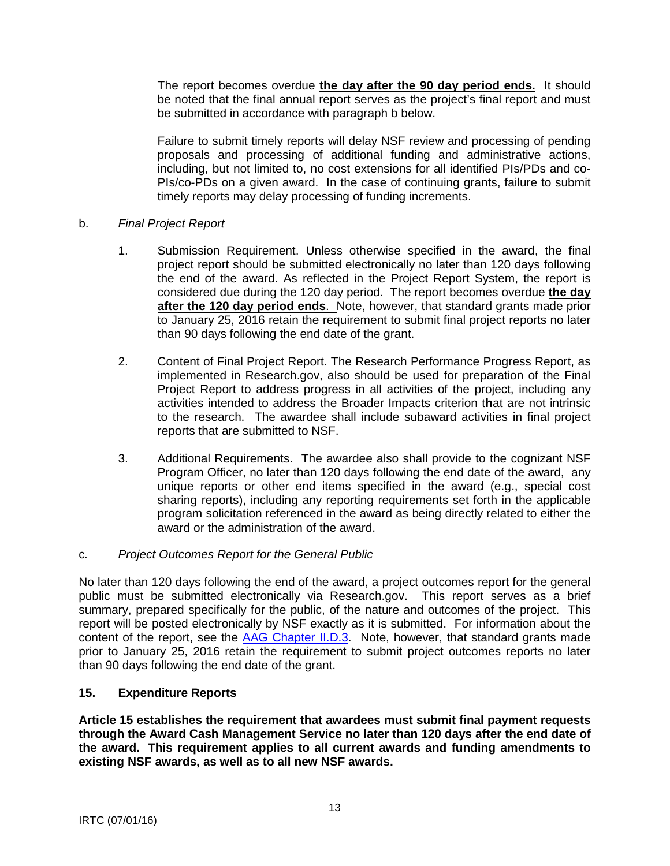<span id="page-12-0"></span>The report becomes overdue **the day after the 90 day period ends.** It should be noted that the final annual report serves as the project's final report and must be submitted in accordance with paragraph b below.

Failure to submit timely reports will delay NSF review and processing of pending proposals and processing of additional funding and administrative actions, including, but not limited to, no cost extensions for all identified PIs/PDs and co-PIs/co-PDs on a given award. In the case of continuing grants, failure to submit timely reports may delay processing of funding increments.

## b. *Final Project Report*

- 1. Submission Requirement. Unless otherwise specified in the award, the final project report should be submitted electronically no later than 120 days following the end of the award. As reflected in the Project Report System, the report is considered due during the 120 day period. The report becomes overdue **the day after the 120 day period ends**. Note, however, that standard grants made prior to January 25, 2016 retain the requirement to submit final project reports no later than 90 days following the end date of the grant.
- 2. Content of Final Project Report. The Research Performance Progress Report, as implemented in Research.gov, also should be used for preparation of the Final Project Report to address progress in all activities of the project, including any activities intended to address the Broader Impacts criterion t**h**at are not intrinsic to the research. The awardee shall include subaward activities in final project reports that are submitted to NSF.
- 3. Additional Requirements. The awardee also shall provide to the cognizant NSF Program Officer, no later than 120 days following the end date of the award, any unique reports or other end items specified in the award (e.g., special cost sharing reports), including any reporting requirements set forth in the applicable program solicitation referenced in the award as being directly related to either the award or the administration of the award.

## c*. Project Outcomes Report for the General Public*

No later than 120 days following the end of the award, a project outcomes report for the general public must be submitted electronically via Research.gov. This report serves as a brief summary, prepared specifically for the public, of the nature and outcomes of the project. This report will be posted electronically by NSF exactly as it is submitted. For information about the content of the report, see the [AAG Chapter II.D.3.](http://www.nsf.gov/pubs/policydocs/pappguide/nsf16001/aag_2.jsp#IID3) Note, however, that standard grants made prior to January 25, 2016 retain the requirement to submit project outcomes reports no later than 90 days following the end date of the grant.

## **15. Expenditure Reports**

**Article 15 establishes the requirement that awardees must submit final payment requests through the Award Cash Management Service no later than 120 days after the end date of the award. This requirement applies to all current awards and funding amendments to existing NSF awards, as well as to all new NSF awards.**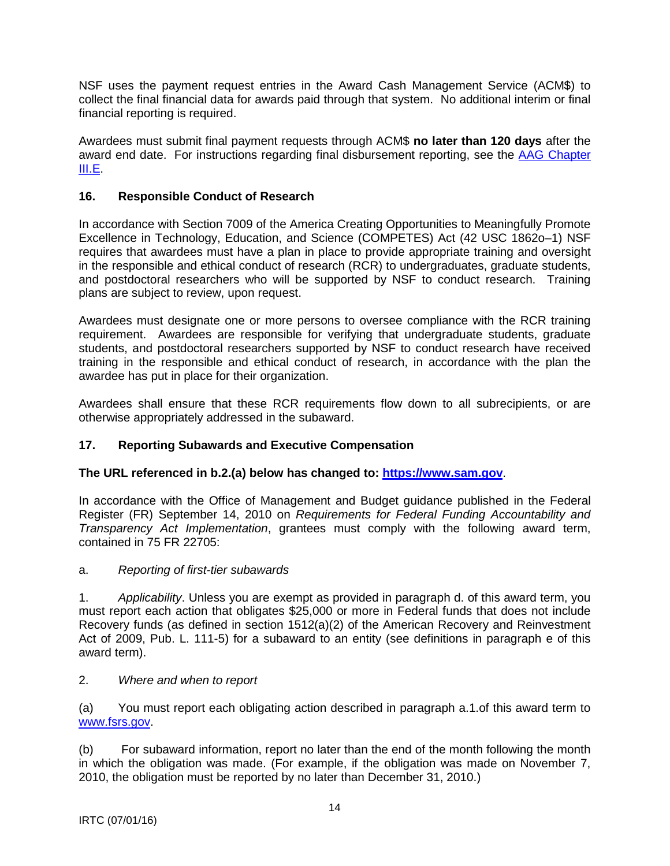<span id="page-13-0"></span>NSF uses the payment request entries in the Award Cash Management Service (ACM\$) to collect the final financial data for awards paid through that system. No additional interim or final financial reporting is required.

Awardees must submit final payment requests through ACM\$ **no later than 120 days** after the award end date. For instructions regarding final disbursement reporting, see the [AAG Chapter](http://www.nsf.gov/pubs/policydocs/pappguide/nsf15001/aag_3.jsp#IIIE)  [III.E.](http://www.nsf.gov/pubs/policydocs/pappguide/nsf15001/aag_3.jsp#IIIE)

# **16. Responsible Conduct of Research**

In accordance with Section 7009 of the America Creating Opportunities to Meaningfully Promote Excellence in Technology, Education, and Science (COMPETES) Act (42 USC 1862o–1) NSF requires that awardees must have a plan in place to provide appropriate training and oversight in the responsible and ethical conduct of research (RCR) to undergraduates, graduate students, and postdoctoral researchers who will be supported by NSF to conduct research. Training plans are subject to review, upon request.

Awardees must designate one or more persons to oversee compliance with the RCR training requirement. Awardees are responsible for verifying that undergraduate students, graduate students, and postdoctoral researchers supported by NSF to conduct research have received training in the responsible and ethical conduct of research, in accordance with the plan the awardee has put in place for their organization.

Awardees shall ensure that these RCR requirements flow down to all subrecipients, or are otherwise appropriately addressed in the subaward.

# **17. Reporting Subawards and Executive Compensation**

## **The URL referenced in b.2.(a) below has changed to: [https://www.sam.gov](https://www.sam.gov/)**.

In accordance with the Office of Management and Budget guidance published in the Federal Register (FR) September 14, 2010 on *Requirements for Federal Funding Accountability and Transparency Act Implementation*, grantees must comply with the following award term, contained in 75 FR 22705:

## a. *Reporting of first-tier subawards*

1. *Applicability*. Unless you are exempt as provided in paragraph d. of this award term, you must report each action that obligates \$25,000 or more in Federal funds that does not include Recovery funds (as defined in section 1512(a)(2) of the American Recovery and Reinvestment Act of 2009, Pub. L. 111-5) for a subaward to an entity (see definitions in paragraph e of this award term).

## 2. *Where and when to report*

(a) You must report each obligating action described in paragraph a.1.of this award term to [www.fsrs.gov.](http://www.fsrs.gov/)

(b) For subaward information, report no later than the end of the month following the month in which the obligation was made. (For example, if the obligation was made on November 7, 2010, the obligation must be reported by no later than December 31, 2010.)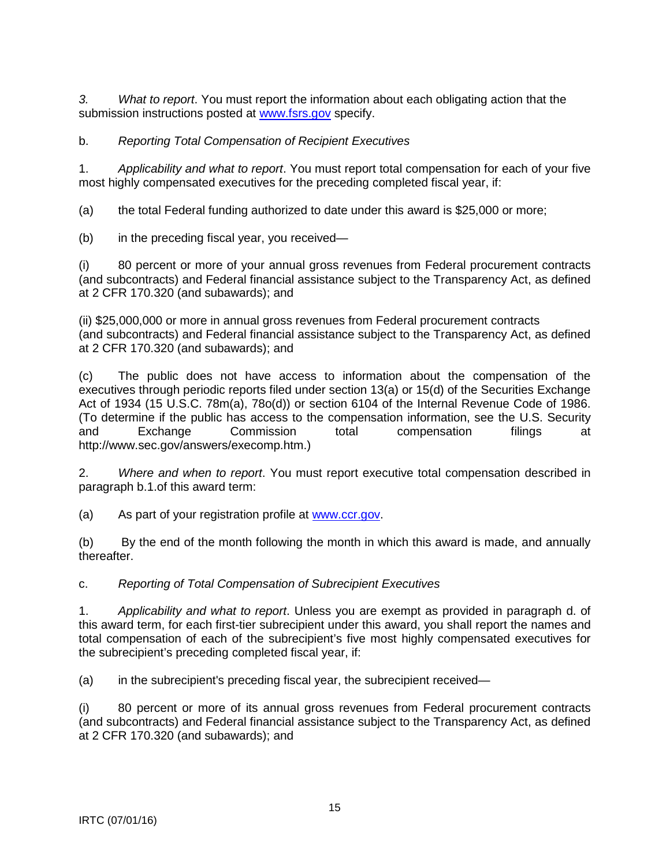*3. What to report*. You must report the information about each obligating action that the submission instructions posted at [www.fsrs.gov](http://www.fsrs.gov/) specify.

# b. *Reporting Total Compensation of Recipient Executives*

1. *Applicability and what to report*. You must report total compensation for each of your five most highly compensated executives for the preceding completed fiscal year, if:

(a) the total Federal funding authorized to date under this award is \$25,000 or more;

(b) in the preceding fiscal year, you received—

(i) 80 percent or more of your annual gross revenues from Federal procurement contracts (and subcontracts) and Federal financial assistance subject to the Transparency Act, as defined at 2 CFR 170.320 (and subawards); and

(ii) \$25,000,000 or more in annual gross revenues from Federal procurement contracts (and subcontracts) and Federal financial assistance subject to the Transparency Act, as defined at 2 CFR 170.320 (and subawards); and

(c) The public does not have access to information about the compensation of the executives through periodic reports filed under section 13(a) or 15(d) of the Securities Exchange Act of 1934 (15 U.S.C. 78m(a), 78o(d)) or section 6104 of the Internal Revenue Code of 1986. (To determine if the public has access to the compensation information, see the U.S. Security and Exchange Commission total compensation filings at http://www.sec.gov/answers/execomp.htm.)

2. *Where and when to report*. You must report executive total compensation described in paragraph b.1.of this award term:

(a) As part of your registration profile at [www.ccr.gov.](http://www.ccr.gov/)

(b) By the end of the month following the month in which this award is made, and annually thereafter.

c. *Reporting of Total Compensation of Subrecipient Executives*

1. *Applicability and what to report*. Unless you are exempt as provided in paragraph d. of this award term, for each first-tier subrecipient under this award, you shall report the names and total compensation of each of the subrecipient's five most highly compensated executives for the subrecipient's preceding completed fiscal year, if:

(a) in the subrecipient's preceding fiscal year, the subrecipient received—

(i) 80 percent or more of its annual gross revenues from Federal procurement contracts (and subcontracts) and Federal financial assistance subject to the Transparency Act, as defined at 2 CFR 170.320 (and subawards); and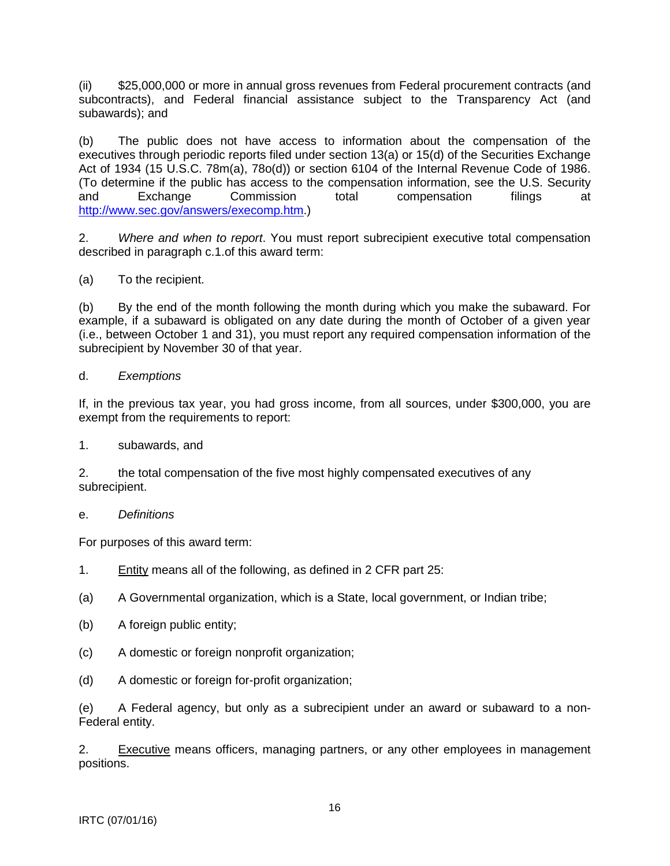(ii) \$25,000,000 or more in annual gross revenues from Federal procurement contracts (and subcontracts), and Federal financial assistance subject to the Transparency Act (and subawards); and

(b) The public does not have access to information about the compensation of the executives through periodic reports filed under section 13(a) or 15(d) of the Securities Exchange Act of 1934 (15 U.S.C. 78m(a), 78o(d)) or section 6104 of the Internal Revenue Code of 1986. (To determine if the public has access to the compensation information, see the U.S. Security and Exchange Commission total compensation filings at [http://www.sec.gov/answers/execomp.htm.](http://www.sec.gov/answers/execomp.htm))

2. *Where and when to report*. You must report subrecipient executive total compensation described in paragraph c.1.of this award term:

(a) To the recipient.

(b) By the end of the month following the month during which you make the subaward. For example, if a subaward is obligated on any date during the month of October of a given year (i.e., between October 1 and 31), you must report any required compensation information of the subrecipient by November 30 of that year.

#### d. *Exemptions*

If, in the previous tax year, you had gross income, from all sources, under \$300,000, you are exempt from the requirements to report:

1. subawards, and

2. the total compensation of the five most highly compensated executives of any subrecipient.

#### e. *Definitions*

For purposes of this award term:

- 1. Entity means all of the following, as defined in 2 CFR part 25:
- (a) A Governmental organization, which is a State, local government, or Indian tribe;
- (b) A foreign public entity;
- (c) A domestic or foreign nonprofit organization;
- (d) A domestic or foreign for-profit organization;

(e) A Federal agency, but only as a subrecipient under an award or subaward to a non-Federal entity.

2. Executive means officers, managing partners, or any other employees in management positions.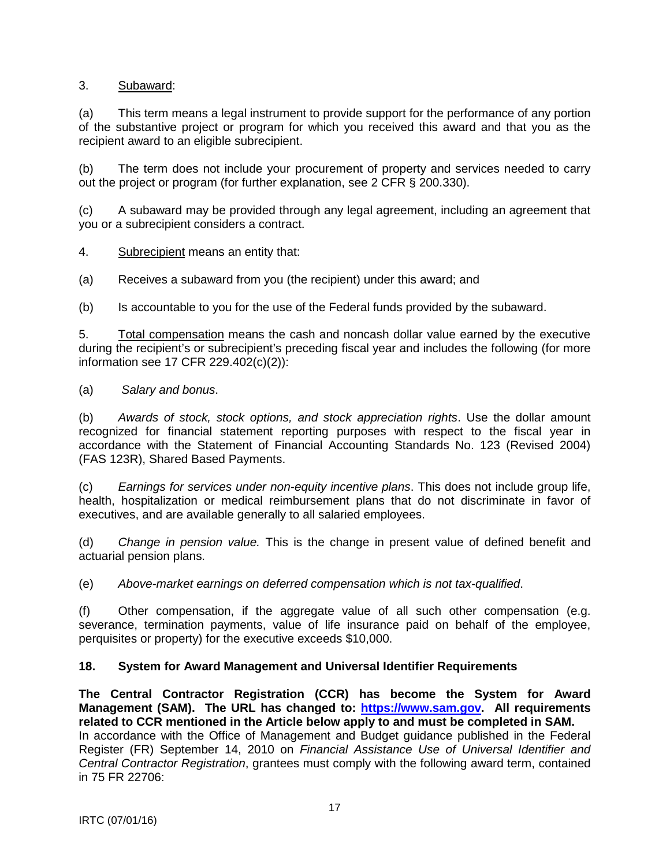# <span id="page-16-0"></span>3. Subaward:

(a) This term means a legal instrument to provide support for the performance of any portion of the substantive project or program for which you received this award and that you as the recipient award to an eligible subrecipient.

(b) The term does not include your procurement of property and services needed to carry out the project or program (for further explanation, see 2 CFR § 200.330).

(c) A subaward may be provided through any legal agreement, including an agreement that you or a subrecipient considers a contract.

4. Subrecipient means an entity that:

(a) Receives a subaward from you (the recipient) under this award; and

(b) Is accountable to you for the use of the Federal funds provided by the subaward.

5. Total compensation means the cash and noncash dollar value earned by the executive during the recipient's or subrecipient's preceding fiscal year and includes the following (for more information see 17 CFR 229.402(c)(2)):

(a) *Salary and bonus*.

(b) *Awards of stock, stock options, and stock appreciation rights*. Use the dollar amount recognized for financial statement reporting purposes with respect to the fiscal year in accordance with the Statement of Financial Accounting Standards No. 123 (Revised 2004) (FAS 123R), Shared Based Payments.

(c) *Earnings for services under non-equity incentive plans*. This does not include group life, health, hospitalization or medical reimbursement plans that do not discriminate in favor of executives, and are available generally to all salaried employees.

(d) *Change in pension value.* This is the change in present value of defined benefit and actuarial pension plans.

(e) *Above-market earnings on deferred compensation which is not tax-qualified*.

(f) Other compensation, if the aggregate value of all such other compensation (e.g. severance, termination payments, value of life insurance paid on behalf of the employee, perquisites or property) for the executive exceeds \$10,000.

## **18. System for Award Management and Universal Identifier Requirements**

**The Central Contractor Registration (CCR) has become the System for Award Management (SAM). The URL has changed to: [https://www.sam.gov.](https://www.sam.gov/) All requirements related to CCR mentioned in the Article below apply to and must be completed in SAM.**  In accordance with the Office of Management and Budget guidance published in the Federal Register (FR) September 14, 2010 on *Financial Assistance Use of Universal Identifier and Central Contractor Registration*, grantees must comply with the following award term, contained in 75 FR 22706: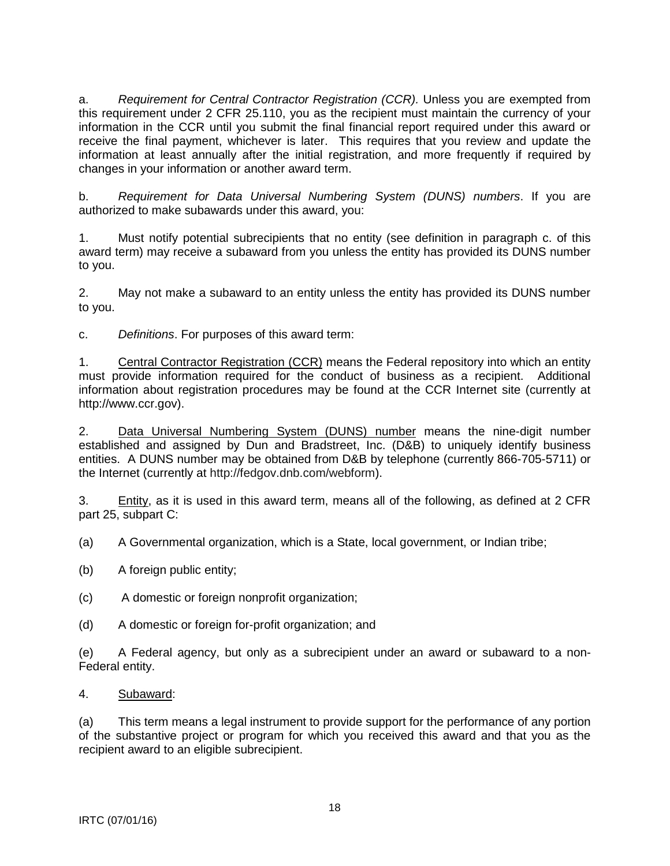a. *Requirement for Central Contractor Registration (CCR).* Unless you are exempted from this requirement under 2 CFR 25.110, you as the recipient must maintain the currency of your information in the CCR until you submit the final financial report required under this award or receive the final payment, whichever is later. This requires that you review and update the information at least annually after the initial registration, and more frequently if required by changes in your information or another award term.

b. *Requirement for Data Universal Numbering System (DUNS) numbers*. If you are authorized to make subawards under this award, you:

1. Must notify potential subrecipients that no entity (see definition in paragraph c. of this award term) may receive a subaward from you unless the entity has provided its DUNS number to you.

2. May not make a subaward to an entity unless the entity has provided its DUNS number to you.

c. *Definitions*. For purposes of this award term:

1. Central Contractor Registration (CCR) means the Federal repository into which an entity must provide information required for the conduct of business as a recipient. Additional information about registration procedures may be found at the CCR Internet site (currently at http://www.ccr.gov).

2. Data Universal Numbering System (DUNS) number means the nine-digit number established and assigned by Dun and Bradstreet, Inc. (D&B) to uniquely identify business entities. A DUNS number may be obtained from D&B by telephone (currently 866-705-5711) or the Internet (currently at http://fedgov.dnb.com/webform).

3. Entity, as it is used in this award term, means all of the following, as defined at 2 CFR part 25, subpart C:

(a) A Governmental organization, which is a State, local government, or Indian tribe;

- (b) A foreign public entity;
- (c) A domestic or foreign nonprofit organization;
- (d) A domestic or foreign for-profit organization; and

(e) A Federal agency, but only as a subrecipient under an award or subaward to a non-Federal entity.

## 4. Subaward:

(a) This term means a legal instrument to provide support for the performance of any portion of the substantive project or program for which you received this award and that you as the recipient award to an eligible subrecipient.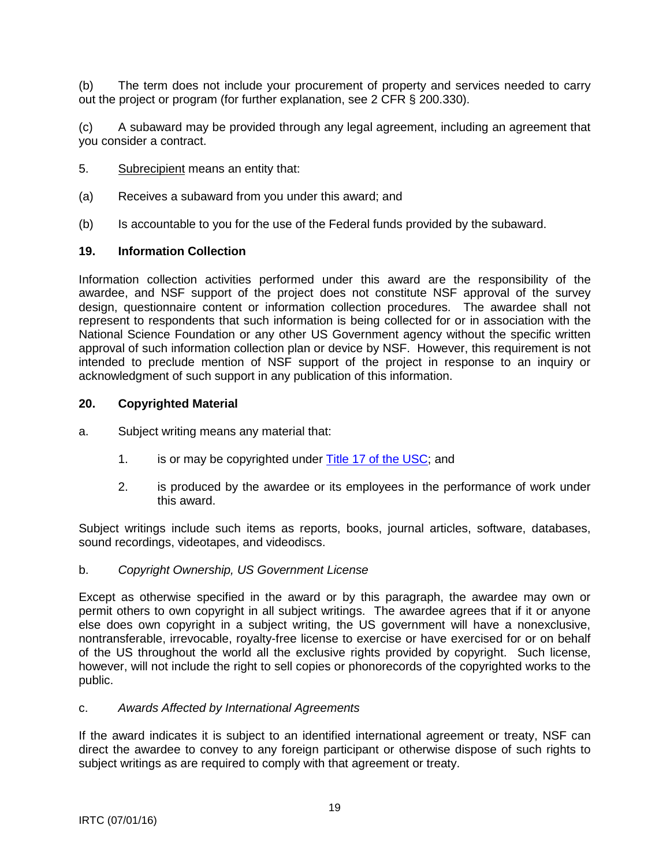<span id="page-18-0"></span>(b) The term does not include your procurement of property and services needed to carry out the project or program (for further explanation, see 2 CFR § 200.330).

(c) A subaward may be provided through any legal agreement, including an agreement that you consider a contract.

- 5. Subrecipient means an entity that:
- (a) Receives a subaward from you under this award; and
- (b) Is accountable to you for the use of the Federal funds provided by the subaward.

#### **19. Information Collection**

Information collection activities performed under this award are the responsibility of the awardee, and NSF support of the project does not constitute NSF approval of the survey design, questionnaire content or information collection procedures. The awardee shall not represent to respondents that such information is being collected for or in association with the National Science Foundation or any other US Government agency without the specific written approval of such information collection plan or device by NSF. However, this requirement is not intended to preclude mention of NSF support of the project in response to an inquiry or acknowledgment of such support in any publication of this information.

#### **20. Copyrighted Material**

- a. Subject writing means any material that:
	- 1. is or may be copyrighted under [Title 17 of the USC;](http://www.copyright.gov/title17/) and
	- 2. is produced by the awardee or its employees in the performance of work under this award.

Subject writings include such items as reports, books, journal articles, software, databases, sound recordings, videotapes, and videodiscs.

#### b. *Copyright Ownership, US Government License*

Except as otherwise specified in the award or by this paragraph, the awardee may own or permit others to own copyright in all subject writings. The awardee agrees that if it or anyone else does own copyright in a subject writing, the US government will have a nonexclusive, nontransferable, irrevocable, royalty-free license to exercise or have exercised for or on behalf of the US throughout the world all the exclusive rights provided by copyright. Such license, however, will not include the right to sell copies or phonorecords of the copyrighted works to the public.

#### c. *Awards Affected by International Agreements*

If the award indicates it is subject to an identified international agreement or treaty, NSF can direct the awardee to convey to any foreign participant or otherwise dispose of such rights to subject writings as are required to comply with that agreement or treaty.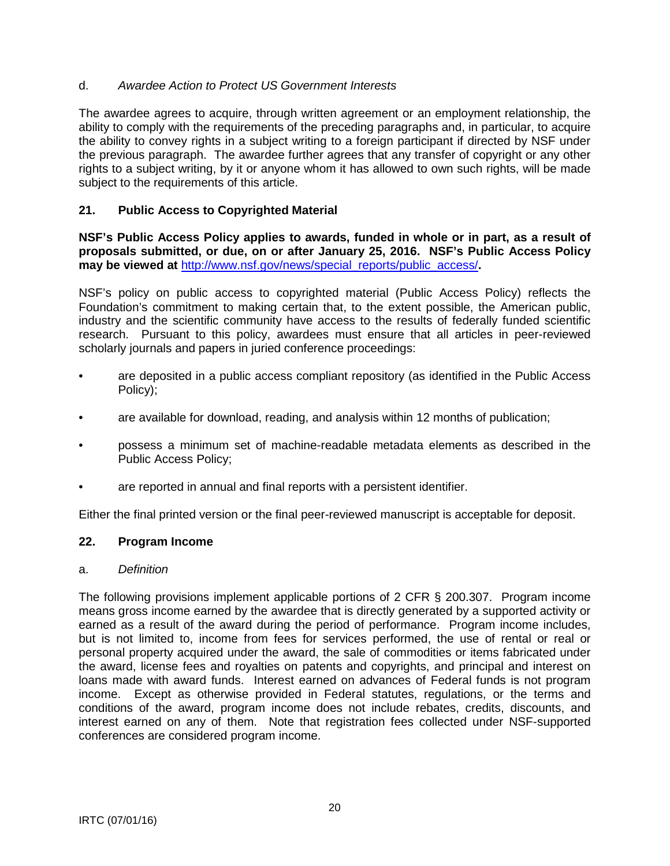# <span id="page-19-0"></span>d. *Awardee Action to Protect US Government Interests*

The awardee agrees to acquire, through written agreement or an employment relationship, the ability to comply with the requirements of the preceding paragraphs and, in particular, to acquire the ability to convey rights in a subject writing to a foreign participant if directed by NSF under the previous paragraph. The awardee further agrees that any transfer of copyright or any other rights to a subject writing, by it or anyone whom it has allowed to own such rights, will be made subject to the requirements of this article.

# **21. Public Access to Copyrighted Material**

**NSF's Public Access Policy applies to awards, funded in whole or in part, as a result of proposals submitted, or due, on or after January 25, 2016. NSF's Public Access Policy may be viewed at** [http://www.nsf.gov/news/special\\_reports/public\\_access/](http://www.nsf.gov/news/special_reports/public_access/)**.**

NSF's policy on public access to copyrighted material (Public Access Policy) reflects the Foundation's commitment to making certain that, to the extent possible, the American public, industry and the scientific community have access to the results of federally funded scientific research. Pursuant to this policy, awardees must ensure that all articles in peer-reviewed scholarly journals and papers in juried conference proceedings:

- are deposited in a public access compliant repository (as identified in the Public Access Policy);
- are available for download, reading, and analysis within 12 months of publication;
- possess a minimum set of machine-readable metadata elements as described in the Public Access Policy;
- are reported in annual and final reports with a persistent identifier.

Either the final printed version or the final peer-reviewed manuscript is acceptable for deposit.

## **22. Program Income**

## a. *Definition*

The following provisions implement applicable portions of 2 CFR § 200.307. Program income means gross income earned by the awardee that is directly generated by a supported activity or earned as a result of the award during the period of performance. Program income includes, but is not limited to, income from fees for services performed, the use of rental or real or personal property acquired under the award, the sale of commodities or items fabricated under the award, license fees and royalties on patents and copyrights, and principal and interest on loans made with award funds. Interest earned on advances of Federal funds is not program income. Except as otherwise provided in Federal statutes, regulations, or the terms and conditions of the award, program income does not include rebates, credits, discounts, and interest earned on any of them. Note that registration fees collected under NSF-supported conferences are considered program income.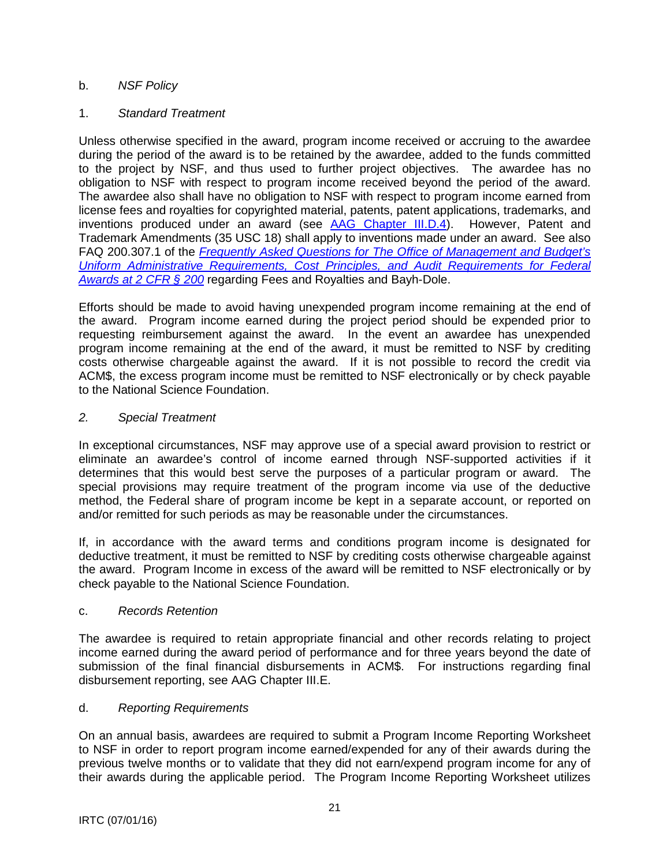# b. *NSF Policy*

# 1. *Standard Treatment*

Unless otherwise specified in the award, program income received or accruing to the awardee during the period of the award is to be retained by the awardee, added to the funds committed to the project by NSF, and thus used to further project objectives. The awardee has no obligation to NSF with respect to program income received beyond the period of the award. The awardee also shall have no obligation to NSF with respect to program income earned from license fees and royalties for copyrighted material, patents, patent applications, trademarks, and inventions produced under an award (see [AAG Chapter III.D.4\)](http://www.nsf.gov/pubs/policydocs/pappguide/nsf16001/aag_3.jsp#IIID4). However, Patent and Trademark Amendments (35 USC 18) shall apply to inventions made under an award. See also FAQ 200.307.1 of the *[Frequently Asked Questions for The Office of Management and Budget's](https://cfo.gov/wp-content/uploads/2015/09/9.9.15-Frequently-Asked-Questions.pdf)  [Uniform Administrative Requirements, Cost Principles, and Audit Requirements for Federal](https://cfo.gov/wp-content/uploads/2015/09/9.9.15-Frequently-Asked-Questions.pdf)  [Awards at 2 CFR § 200](https://cfo.gov/wp-content/uploads/2015/09/9.9.15-Frequently-Asked-Questions.pdf)* regarding Fees and Royalties and Bayh-Dole.

Efforts should be made to avoid having unexpended program income remaining at the end of the award. Program income earned during the project period should be expended prior to requesting reimbursement against the award. In the event an awardee has unexpended program income remaining at the end of the award, it must be remitted to NSF by crediting costs otherwise chargeable against the award. If it is not possible to record the credit via ACM\$, the excess program income must be remitted to NSF electronically or by check payable to the National Science Foundation.

## *2. Special Treatment*

In exceptional circumstances, NSF may approve use of a special award provision to restrict or eliminate an awardee's control of income earned through NSF-supported activities if it determines that this would best serve the purposes of a particular program or award. The special provisions may require treatment of the program income via use of the deductive method, the Federal share of program income be kept in a separate account, or reported on and/or remitted for such periods as may be reasonable under the circumstances.

If, in accordance with the award terms and conditions program income is designated for deductive treatment, it must be remitted to NSF by crediting costs otherwise chargeable against the award. Program Income in excess of the award will be remitted to NSF electronically or by check payable to the National Science Foundation.

## c. *Records Retention*

The awardee is required to retain appropriate financial and other records relating to project income earned during the award period of performance and for three years beyond the date of submission of the final financial disbursements in ACM\$. For instructions regarding final disbursement reporting, see AAG Chapter III.E.

## d. *Reporting Requirements*

On an annual basis, awardees are required to submit a Program Income Reporting Worksheet to NSF in order to report program income earned/expended for any of their awards during the previous twelve months or to validate that they did not earn/expend program income for any of their awards during the applicable period. The Program Income Reporting Worksheet utilizes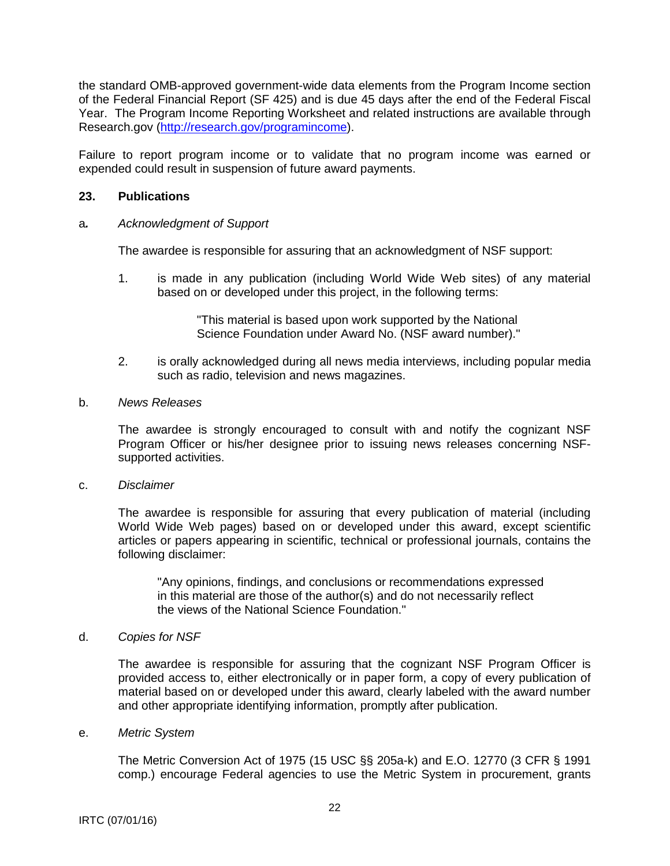<span id="page-21-0"></span>the standard OMB-approved government-wide data elements from the Program Income section of the Federal Financial Report (SF 425) and is due 45 days after the end of the Federal Fiscal Year. The Program Income Reporting Worksheet and related instructions are available through Research.gov [\(http://research.gov/programincome\)](http://research.gov/programincome).

Failure to report program income or to validate that no program income was earned or expended could result in suspension of future award payments.

#### **23. Publications**

#### a*. Acknowledgment of Support*

The awardee is responsible for assuring that an acknowledgment of NSF support:

1. is made in any publication (including World Wide Web sites) of any material based on or developed under this project, in the following terms:

> "This material is based upon work supported by the National Science Foundation under Award No. (NSF award number)."

2. is orally acknowledged during all news media interviews, including popular media such as radio, television and news magazines.

#### b. *News Releases*

The awardee is strongly encouraged to consult with and notify the cognizant NSF Program Officer or his/her designee prior to issuing news releases concerning NSFsupported activities.

c. *Disclaimer*

The awardee is responsible for assuring that every publication of material (including World Wide Web pages) based on or developed under this award, except scientific articles or papers appearing in scientific, technical or professional journals, contains the following disclaimer:

"Any opinions, findings, and conclusions or recommendations expressed in this material are those of the author(s) and do not necessarily reflect the views of the National Science Foundation."

#### d. *Copies for NSF*

The awardee is responsible for assuring that the cognizant NSF Program Officer is provided access to, either electronically or in paper form, a copy of every publication of material based on or developed under this award, clearly labeled with the award number and other appropriate identifying information, promptly after publication.

#### e. *Metric System*

The Metric Conversion Act of 1975 (15 USC §§ 205a-k) and E.O. 12770 (3 CFR § 1991 comp.) encourage Federal agencies to use the Metric System in procurement, grants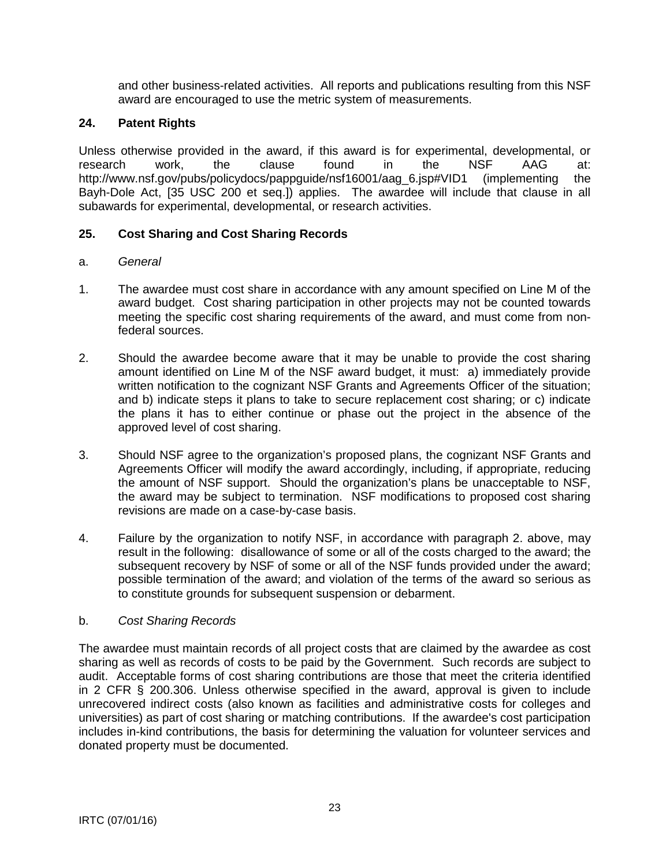and other business-related activities. All reports and publications resulting from this NSF award are encouraged to use the metric system of measurements.

# <span id="page-22-0"></span>**24. Patent Rights**

Unless otherwise provided in the award, if this award is for experimental, developmental, or research work, the clause found in the NSF AAG at: http://www.nsf.gov/pubs/policydocs/pappguide/nsf16001/aag\_6.jsp#VID1 (implementing the Bayh-Dole Act, [35 USC 200 et seq.]) applies. The awardee will include that clause in all subawards for experimental, developmental, or research activities.

# **25. Cost Sharing and Cost Sharing Records**

## a. *General*

- 1. The awardee must cost share in accordance with any amount specified on Line M of the award budget. Cost sharing participation in other projects may not be counted towards meeting the specific cost sharing requirements of the award, and must come from nonfederal sources.
- 2. Should the awardee become aware that it may be unable to provide the cost sharing amount identified on Line M of the NSF award budget, it must: a) immediately provide written notification to the cognizant NSF Grants and Agreements Officer of the situation: and b) indicate steps it plans to take to secure replacement cost sharing; or c) indicate the plans it has to either continue or phase out the project in the absence of the approved level of cost sharing.
- 3. Should NSF agree to the organization's proposed plans, the cognizant NSF Grants and Agreements Officer will modify the award accordingly, including, if appropriate, reducing the amount of NSF support. Should the organization's plans be unacceptable to NSF, the award may be subject to termination. NSF modifications to proposed cost sharing revisions are made on a case-by-case basis.
- 4. Failure by the organization to notify NSF, in accordance with paragraph 2. above, may result in the following: disallowance of some or all of the costs charged to the award; the subsequent recovery by NSF of some or all of the NSF funds provided under the award; possible termination of the award; and violation of the terms of the award so serious as to constitute grounds for subsequent suspension or debarment.

## b. *Cost Sharing Records*

The awardee must maintain records of all project costs that are claimed by the awardee as cost sharing as well as records of costs to be paid by the Government. Such records are subject to audit. Acceptable forms of cost sharing contributions are those that meet the criteria identified in 2 CFR § 200.306. Unless otherwise specified in the award, approval is given to include unrecovered indirect costs (also known as facilities and administrative costs for colleges and universities) as part of cost sharing or matching contributions. If the awardee's cost participation includes in-kind contributions, the basis for determining the valuation for volunteer services and donated property must be documented.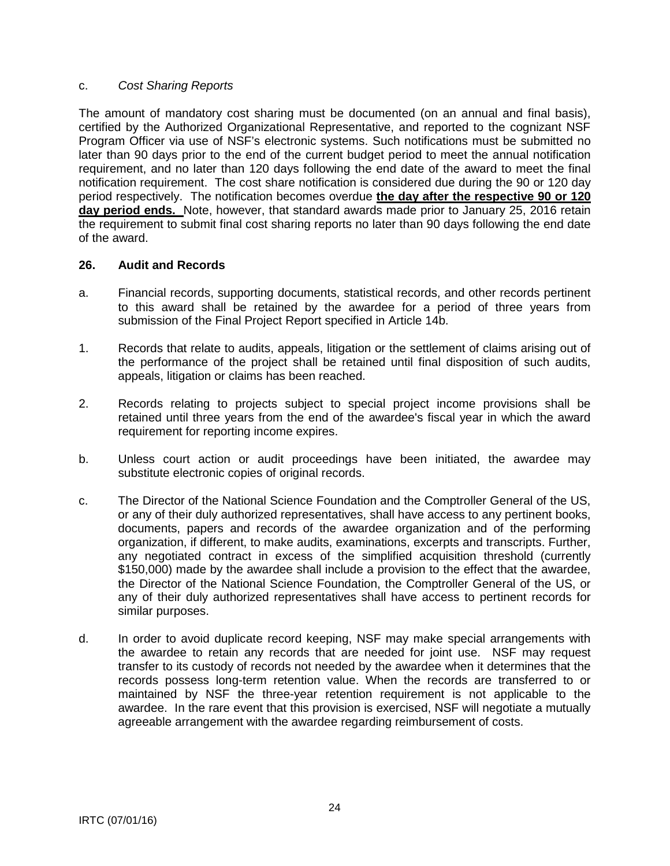#### <span id="page-23-0"></span>c. *Cost Sharing Reports*

The amount of mandatory cost sharing must be documented (on an annual and final basis), certified by the Authorized Organizational Representative, and reported to the cognizant NSF Program Officer via use of NSF's electronic systems. Such notifications must be submitted no later than 90 days prior to the end of the current budget period to meet the annual notification requirement, and no later than 120 days following the end date of the award to meet the final notification requirement. The cost share notification is considered due during the 90 or 120 day period respectively. The notification becomes overdue **the day after the respective 90 or 120 day period ends.** Note, however, that standard awards made prior to January 25, 2016 retain the requirement to submit final cost sharing reports no later than 90 days following the end date of the award.

## **26. Audit and Records**

- a. Financial records, supporting documents, statistical records, and other records pertinent to this award shall be retained by the awardee for a period of three years from submission of the Final Project Report specified in Article 14b.
- 1. Records that relate to audits, appeals, litigation or the settlement of claims arising out of the performance of the project shall be retained until final disposition of such audits, appeals, litigation or claims has been reached.
- 2. Records relating to projects subject to special project income provisions shall be retained until three years from the end of the awardee's fiscal year in which the award requirement for reporting income expires.
- b. Unless court action or audit proceedings have been initiated, the awardee may substitute electronic copies of original records.
- c. The Director of the National Science Foundation and the Comptroller General of the US, or any of their duly authorized representatives, shall have access to any pertinent books, documents, papers and records of the awardee organization and of the performing organization, if different, to make audits, examinations, excerpts and transcripts. Further, any negotiated contract in excess of the simplified acquisition threshold (currently \$150,000) made by the awardee shall include a provision to the effect that the awardee, the Director of the National Science Foundation, the Comptroller General of the US, or any of their duly authorized representatives shall have access to pertinent records for similar purposes.
- d. In order to avoid duplicate record keeping, NSF may make special arrangements with the awardee to retain any records that are needed for joint use. NSF may request transfer to its custody of records not needed by the awardee when it determines that the records possess long-term retention value. When the records are transferred to or maintained by NSF the three-year retention requirement is not applicable to the awardee. In the rare event that this provision is exercised, NSF will negotiate a mutually agreeable arrangement with the awardee regarding reimbursement of costs.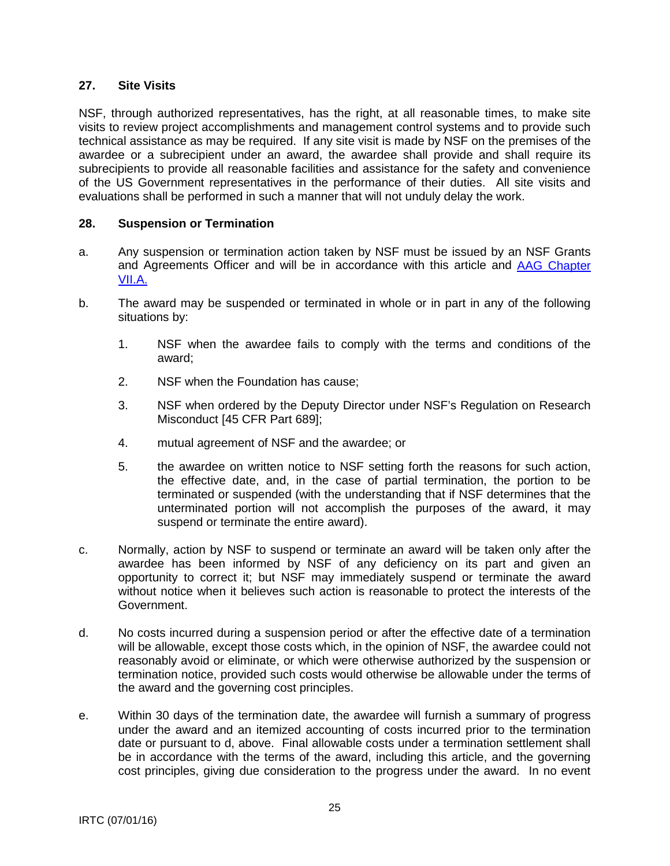## <span id="page-24-0"></span>**27. Site Visits**

NSF, through authorized representatives, has the right, at all reasonable times, to make site visits to review project accomplishments and management control systems and to provide such technical assistance as may be required. If any site visit is made by NSF on the premises of the awardee or a subrecipient under an award, the awardee shall provide and shall require its subrecipients to provide all reasonable facilities and assistance for the safety and convenience of the US Government representatives in the performance of their duties. All site visits and evaluations shall be performed in such a manner that will not unduly delay the work.

#### **28. Suspension or Termination**

- a. Any suspension or termination action taken by NSF must be issued by an NSF Grants and Agreements Officer and will be in accordance with this article and [AAG Chapter](http://www.nsf.gov/pubs/policydocs/pappguide/nsf16001/aag_7.jsp#VIIA)  [VII.A.](http://www.nsf.gov/pubs/policydocs/pappguide/nsf16001/aag_7.jsp#VIIA)
- b. The award may be suspended or terminated in whole or in part in any of the following situations by:
	- 1. NSF when the awardee fails to comply with the terms and conditions of the award;
	- 2. NSF when the Foundation has cause;
	- 3. NSF when ordered by the Deputy Director under NSF's Regulation on Research Misconduct [45 CFR Part 689];
	- 4. mutual agreement of NSF and the awardee; or
	- 5. the awardee on written notice to NSF setting forth the reasons for such action, the effective date, and, in the case of partial termination, the portion to be terminated or suspended (with the understanding that if NSF determines that the unterminated portion will not accomplish the purposes of the award, it may suspend or terminate the entire award).
- c. Normally, action by NSF to suspend or terminate an award will be taken only after the awardee has been informed by NSF of any deficiency on its part and given an opportunity to correct it; but NSF may immediately suspend or terminate the award without notice when it believes such action is reasonable to protect the interests of the Government.
- d. No costs incurred during a suspension period or after the effective date of a termination will be allowable, except those costs which, in the opinion of NSF, the awardee could not reasonably avoid or eliminate, or which were otherwise authorized by the suspension or termination notice, provided such costs would otherwise be allowable under the terms of the award and the governing cost principles.
- e. Within 30 days of the termination date, the awardee will furnish a summary of progress under the award and an itemized accounting of costs incurred prior to the termination date or pursuant to d, above. Final allowable costs under a termination settlement shall be in accordance with the terms of the award, including this article, and the governing cost principles, giving due consideration to the progress under the award. In no event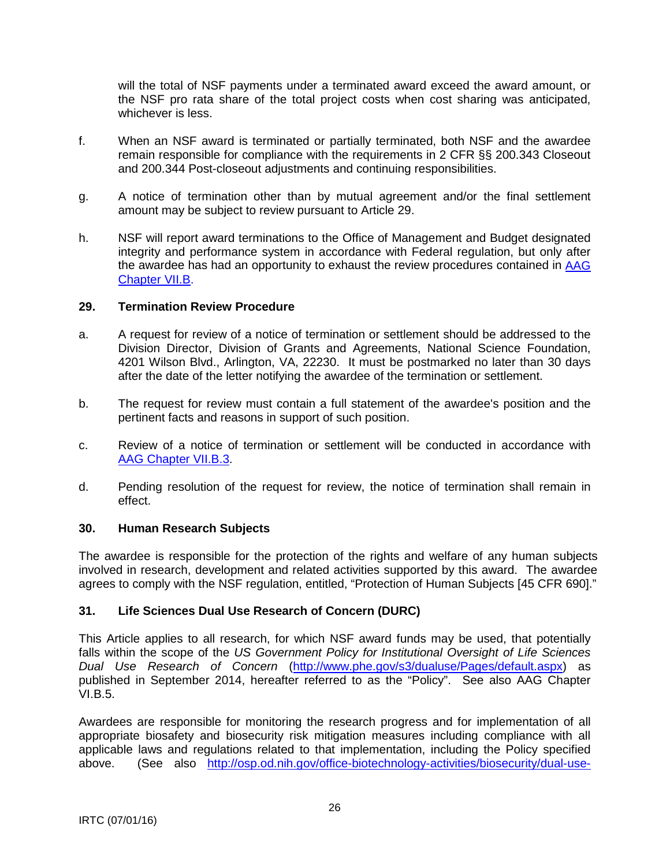<span id="page-25-0"></span>will the total of NSF payments under a terminated award exceed the award amount, or the NSF pro rata share of the total project costs when cost sharing was anticipated, whichever is less.

- f. When an NSF award is terminated or partially terminated, both NSF and the awardee remain responsible for compliance with the requirements in 2 CFR §§ 200.343 Closeout and 200.344 Post-closeout adjustments and continuing responsibilities.
- g. A notice of termination other than by mutual agreement and/or the final settlement amount may be subject to review pursuant to Article 29.
- h. NSF will report award terminations to the Office of Management and Budget designated integrity and performance system in accordance with Federal regulation, but only after the awardee has had an opportunity to exhaust the review procedures contained in [AAG](http://www.nsf.gov/pubs/policydocs/pappguide/nsf16001/aag_7.jsp#VIIB)  [Chapter VII.B.](http://www.nsf.gov/pubs/policydocs/pappguide/nsf16001/aag_7.jsp#VIIB)

## **29. Termination Review Procedure**

- a. A request for review of a notice of termination or settlement should be addressed to the Division Director, Division of Grants and Agreements, National Science Foundation, 4201 Wilson Blvd., Arlington, VA, 22230. It must be postmarked no later than 30 days after the date of the letter notifying the awardee of the termination or settlement.
- b. The request for review must contain a full statement of the awardee's position and the pertinent facts and reasons in support of such position.
- c. Review of a notice of termination or settlement will be conducted in accordance with [AAG Chapter VII.B.3.](http://www.nsf.gov/pubs/policydocs/pappguide/nsf16001/aag_7.jsp#VIIB3)
- d. Pending resolution of the request for review, the notice of termination shall remain in effect.

#### **30. Human Research Subjects**

The awardee is responsible for the protection of the rights and welfare of any human subjects involved in research, development and related activities supported by this award. The awardee agrees to comply with the NSF regulation, entitled, "Protection of Human Subjects [45 CFR 690]."

## **31. Life Sciences Dual Use Research of Concern (DURC)**

This Article applies to all research, for which NSF award funds may be used, that potentially falls within the scope of the *US Government Policy for Institutional Oversight of Life Sciences Dual Use Research of Concern* [\(http://www.phe.gov/s3/dualuse/Pages/default.aspx\)](http://www.phe.gov/s3/dualuse/Pages/default.aspx) as published in September 2014, hereafter referred to as the "Policy". See also AAG Chapter VI.B.5.

Awardees are responsible for monitoring the research progress and for implementation of all appropriate biosafety and biosecurity risk mitigation measures including compliance with all applicable laws and regulations related to that implementation, including the Policy specified above. (See also [http://osp.od.nih.gov/office-biotechnology-activities/biosecurity/dual-use-](http://osp.od.nih.gov/office-biotechnology-activities/biosecurity/dual-use-research-concern)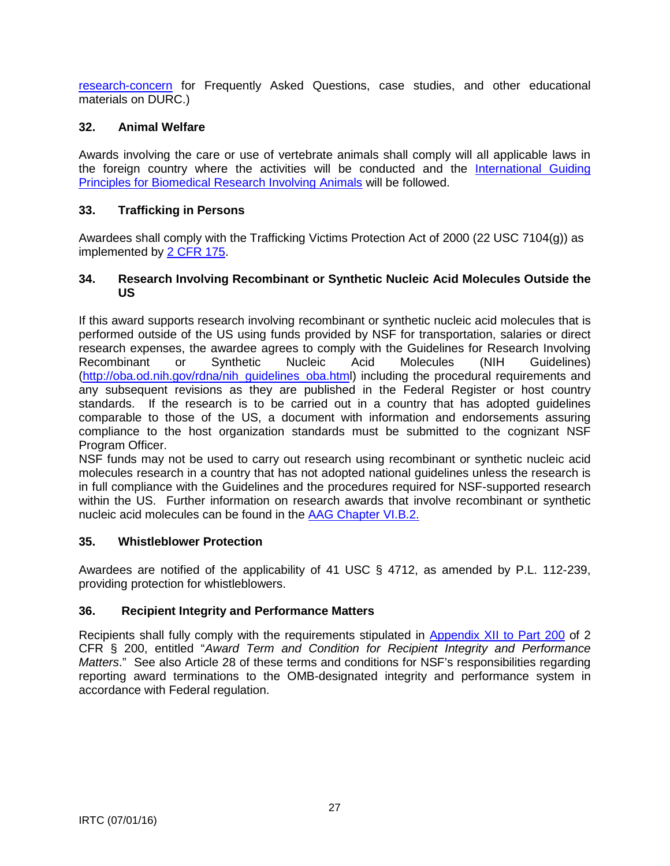<span id="page-26-0"></span>[research-concern](http://osp.od.nih.gov/office-biotechnology-activities/biosecurity/dual-use-research-concern) for Frequently Asked Questions, case studies, and other educational materials on DURC.)

# **32. Animal Welfare**

Awards involving the care or use of vertebrate animals shall comply will all applicable laws in the foreign country where the activities will be conducted and the [International Guiding](http://grants.nih.gov/grants/olaw/Guiding_Principles_2012.pdf)  [Principles for Biomedical Research Involving Animals](http://grants.nih.gov/grants/olaw/Guiding_Principles_2012.pdf) will be followed.

# **33. Trafficking in Persons**

Awardees shall comply with the Trafficking Victims Protection Act of 2000 (22 USC 7104(g)) as implemented by [2 CFR 175.](http://www.ecfr.gov/cgi-bin/text-idx?tpl=/ecfrbrowse/Title02/2cfr175_main_02.tpl)

#### **34. Research Involving Recombinant or Synthetic Nucleic Acid Molecules Outside the US**

If this award supports research involving recombinant or synthetic nucleic acid molecules that is performed outside of the US using funds provided by NSF for transportation, salaries or direct research expenses, the awardee agrees to comply with the Guidelines for Research Involving Recombinant or Synthetic Nucleic Acid Molecules (NIH Guidelines) [\(http://oba.od.nih.gov/rdna/nih\\_guidelines\\_oba.html](http://oba.od.nih.gov/rdna/nih_guidelines_oba.htm)) including the procedural requirements and any subsequent revisions as they are published in the Federal Register or host country standards. If the research is to be carried out in a country that has adopted guidelines comparable to those of the US, a document with information and endorsements assuring compliance to the host organization standards must be submitted to the cognizant NSF Program Officer.

NSF funds may not be used to carry out research using recombinant or synthetic nucleic acid molecules research in a country that has not adopted national guidelines unless the research is in full compliance with the Guidelines and the procedures required for NSF-supported research within the US. Further information on research awards that involve recombinant or synthetic nucleic acid molecules can be found in the [AAG Chapter VI.B.2.](http://www.nsf.gov/pubs/policydocs/pappguide/nsf16001/aag_6.jsp#VIB2)

## **35. Whistleblower Protection**

Awardees are notified of the applicability of 41 USC § 4712, as amended by P.L. 112-239, providing protection for whistleblowers.

## **36. Recipient Integrity and Performance Matters**

Recipients shall fully comply with the requirements stipulated in [Appendix XII to Part 200](http://www.ecfr.gov/cgi-bin/text-idx?SID=704835d27377ef5213a51c149de40cab&node=2:1.1.2.2.1&rgn=div5) of 2 CFR § 200, entitled "*Award Term and Condition for Recipient Integrity and Performance Matters*." See also Article 28 of these terms and conditions for NSF's responsibilities regarding reporting award terminations to the OMB-designated integrity and performance system in accordance with Federal regulation.